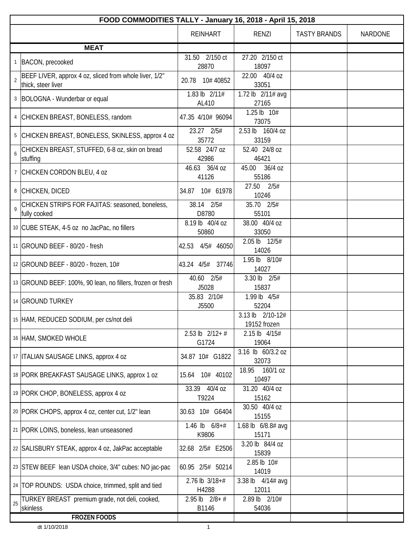|    | FOOD COMMODITIES TALLY - January 16, 2018 - April 15, 2018                   |                              |                                  |                     |         |  |
|----|------------------------------------------------------------------------------|------------------------------|----------------------------------|---------------------|---------|--|
|    |                                                                              | <b>REINHART</b>              | RENZI                            | <b>TASTY BRANDS</b> | NARDONE |  |
|    | <b>MEAT</b>                                                                  |                              |                                  |                     |         |  |
|    | 1 BACON, precooked                                                           | 31.50 2/150 ct<br>28870      | 27.20 2/150 ct<br>18097          |                     |         |  |
| 2  | BEEF LIVER, approx 4 oz, sliced from whole liver, 1/2"<br>thick, steer liver | 20.78 10# 40852              | 22.00 40/4 oz<br>33051           |                     |         |  |
|    | 3   BOLOGNA - Wunderbar or equal                                             | 1.83 lb 2/11#<br>AL410       | 1.72 lb 2/11# avg<br>27165       |                     |         |  |
|    | 4 CHICKEN BREAST, BONELESS, random                                           | 47.35 4/10# 96094            | 1.25 lb 10#<br>73075             |                     |         |  |
|    | 5 CHICKEN BREAST, BONELESS, SKINLESS, approx 4 oz                            | 23.27 2/5#<br>35772          | 2.53 lb 160/4 oz<br>33159        |                     |         |  |
| 6  | CHICKEN BREAST, STUFFED, 6-8 oz, skin on bread<br>stuffing                   | 52.58 24/7 oz<br>42986       | 52.40 24/8 oz<br>46421           |                     |         |  |
|    | 7 CHICKEN CORDON BLEU, 4 oz                                                  | 46.63 36/4 oz<br>41126       | 45.00 36/4 oz<br>55186           |                     |         |  |
|    | 8 CHICKEN, DICED                                                             | 34.87 10# 61978              | 27.50 2/5#<br>10246              |                     |         |  |
| 9  | CHICKEN STRIPS FOR FAJITAS: seasoned, boneless,<br>fully cooked              | 38.14 2/5#<br>D8780          | 35.70 2/5#<br>55101              |                     |         |  |
|    | 10 CUBE STEAK, 4-5 oz no JacPac, no fillers                                  | 8.19 lb 40/4 oz<br>50860     | 38.00 40/4 oz<br>33050           |                     |         |  |
|    | 11 GROUND BEEF - 80/20 - fresh                                               | 42.53<br>4/5# 46050          | 2.05 lb 12/5#<br>14026           |                     |         |  |
|    | 12 GROUND BEEF - 80/20 - frozen, 10#                                         | 43.24 4/5# 37746             | 1.95 lb 8/10#<br>14027           |                     |         |  |
|    | 13 GROUND BEEF: 100%, 90 lean, no fillers, frozen or fresh                   | 40.60 2/5#<br>J5028          | 3.30 lb 2/5#<br>15837            |                     |         |  |
|    | 14 GROUND TURKEY                                                             | 35.83 2/10#<br>J5500         | 1.99 lb 4/5#<br>52204            |                     |         |  |
|    | 15 HAM, REDUCED SODIUM, per cs/not deli                                      |                              | 3.13 lb 2/10-12#<br>19152 frozen |                     |         |  |
|    | 16 HAM, SMOKED WHOLE                                                         | $2.53$ lb $2/12+$ #<br>G1724 | 2.15 lb 4/15#<br>19064           |                     |         |  |
|    | 17   ITALIAN SAUSAGE LINKS, approx 4 oz                                      | 34.87 10# G1822              | 3.16 lb 60/3.2 oz<br>32073       |                     |         |  |
|    | 18 PORK BREAKFAST SAUSAGE LINKS, approx 1 oz                                 | 15.64 10# 40102              | 18.95<br>160/1 oz<br>10497       |                     |         |  |
|    | 19 PORK CHOP, BONELESS, approx 4 oz                                          | 33.39 40/4 oz<br>T9224       | 31.20 40/4 oz<br>15162           |                     |         |  |
|    | 20 PORK CHOPS, approx 4 oz, center cut, 1/2" lean                            | 30.63 10# G6404              | 30.50 40/4 oz<br>15155           |                     |         |  |
|    | 21 PORK LOINS, boneless, lean unseasoned                                     | 1.46 lb $6/8+#$<br>K9806     | 1.68 lb 6/8.8# avg<br>15171      |                     |         |  |
|    | 22 SALISBURY STEAK, approx 4 oz, JakPac acceptable                           | 32.68 2/5# E2506             | 3.20 lb 84/4 oz<br>15839         |                     |         |  |
|    | 23 STEW BEEF lean USDA choice, 3/4" cubes: NO jac-pac                        | 60.95 2/5# 50214             | 2.85 lb 10#<br>14019             |                     |         |  |
|    | 24   TOP ROUNDS: USDA choice, trimmed, split and tied                        | $2.76$ lb $3/18+#$<br>H4288  | 3.38 lb $4/14#$ avg<br>12011     |                     |         |  |
| 25 | TURKEY BREAST premium grade, not deli, cooked,<br>skinless                   | $2.95$ lb $2/8 + #$<br>B1146 | 2.89 lb 2/10#<br>54036           |                     |         |  |
|    | <b>FROZEN FOODS</b>                                                          |                              |                                  |                     |         |  |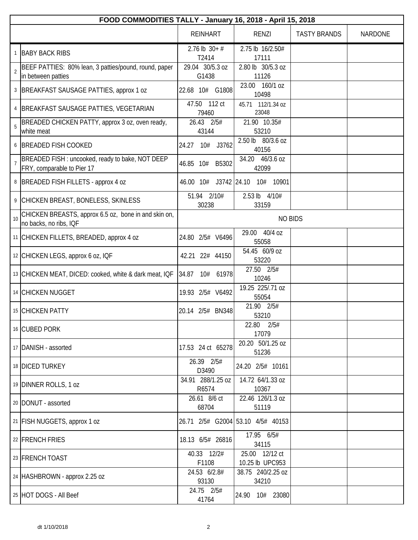|                | FOOD COMMODITIES TALLY - January 16, 2018 - April 15, 2018                     |                            |                                   |                     |                |
|----------------|--------------------------------------------------------------------------------|----------------------------|-----------------------------------|---------------------|----------------|
|                |                                                                                | <b>REINHART</b>            | <b>RENZI</b>                      | <b>TASTY BRANDS</b> | <b>NARDONE</b> |
|                | 1 BABY BACK RIBS                                                               | $2.76$ lb $30+#$<br>T2414  | 2.75 lb 16/2.50#<br>17111         |                     |                |
| $\overline{2}$ | BEEF PATTIES: 80% lean, 3 patties/pound, round, paper<br>in between patties    | 29.04 30/5.3 oz<br>G1438   | 2.80 lb 30/5.3 oz<br>11126        |                     |                |
|                | 3   BREAKFAST SAUSAGE PATTIES, approx 1 oz                                     | 22.68 10# G1808            | 23.00 160/1 oz<br>10498           |                     |                |
| 4              | BREAKFAST SAUSAGE PATTIES, VEGETARIAN                                          | 47.50 112 ct<br>79460      | 45.71 112/1.34 oz<br>23048        |                     |                |
| 5              | BREADED CHICKEN PATTY, approx 3 oz, oven ready,<br>white meat                  | 26.43 2/5#<br>43144        | 21.90 10.35#<br>53210             |                     |                |
|                | 6 BREADED FISH COOKED                                                          | 10# J3762<br>24.27         | 2.50 lb 80/3.6 oz<br>40156        |                     |                |
|                | BREADED FISH: uncooked, ready to bake, NOT DEEP<br>FRY, comparable to Pier 17  | B5302<br>46.85 10#         | 34.20 46/3.6 oz<br>42099          |                     |                |
|                | 8   BREADED FISH FILLETS - approx 4 oz                                         | 46.00 10# J3742 24.10      | 10# 10901                         |                     |                |
|                | 9 CHICKEN BREAST, BONELESS, SKINLESS                                           | 51.94 2/10#<br>30238       | 2.53 lb 4/10#<br>33159            |                     |                |
| 10             | CHICKEN BREASTS, approx 6.5 oz, bone in and skin on,<br>no backs, no ribs, IQF |                            | <b>NO BIDS</b>                    |                     |                |
|                | 11 CHICKEN FILLETS, BREADED, approx 4 oz                                       | 24.80 2/5# V6496           | 29.00 40/4 oz<br>55058            |                     |                |
|                | 12 CHICKEN LEGS, approx 6 oz, IQF                                              | 42.21 22# 44150            | 54.45 60/9 oz<br>53220            |                     |                |
|                | 13 CHICKEN MEAT, DICED: cooked, white & dark meat, IQF                         | 34.87<br>10# 61978         | 27.50 2/5#<br>10246               |                     |                |
|                | 14 CHICKEN NUGGET                                                              | 19.93 2/5# V6492           | 19.25 225/.71 oz<br>55054         |                     |                |
|                | 15 CHICKEN PATTY                                                               | 20.14 2/5# BN348           | 21.90 2/5#<br>53210               |                     |                |
|                | 16 CUBED PORK                                                                  |                            | 22.80 2/5#<br>17079               |                     |                |
|                | 17 DANISH - assorted                                                           | 17.53 24 ct 65278          | 20.20 50/1.25 oz<br>51236         |                     |                |
|                | 18 DICED TURKEY                                                                | 26.39 2/5#<br>D3490        | 24.20 2/5# 10161                  |                     |                |
|                | 19 DINNER ROLLS, 1 oz                                                          | 34.91 288/1.25 oz<br>R6574 | 14.72 64/1.33 oz<br>10367         |                     |                |
|                | 20   DONUT - assorted                                                          | 26.61 8/6 ct<br>68704      | 22.46 126/1.3 oz<br>51119         |                     |                |
|                | 21   FISH NUGGETS, approx 1 oz                                                 |                            | 26.71 2/5# G2004 53.10 4/5# 40153 |                     |                |
|                | 22 FRENCH FRIES                                                                | 18.13 6/5# 26816           | 17.95 6/5#<br>34115               |                     |                |
|                | 23 FRENCH TOAST                                                                | 40.33 12/2#<br>F1108       | 25.00 12/12 ct<br>10.25 lb UPC953 |                     |                |
|                | 24   HASHBROWN - approx 2.25 oz                                                | 24.53 6/2.8#<br>93130      | 38.75 240/2.25 oz<br>34210        |                     |                |
|                | 25 HOT DOGS - All Beef                                                         | 24.75 2/5#<br>41764        | 24.90<br>10# 23080                |                     |                |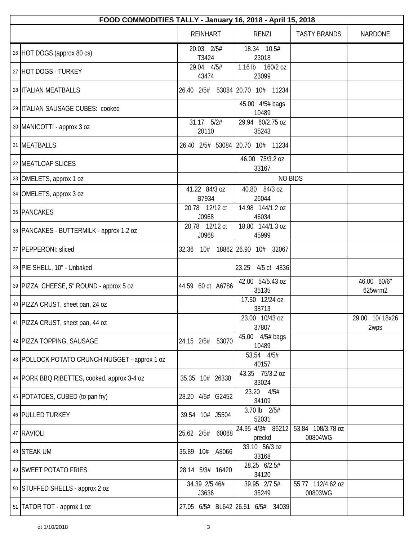| FOOD COMMODITIES TALLY - January 16, 2018 - April 15, 2018 |                         |                                   |                              |                        |  |
|------------------------------------------------------------|-------------------------|-----------------------------------|------------------------------|------------------------|--|
|                                                            | <b>REINHART</b>         | <b>RENZI</b>                      | <b>TASTY BRANDS</b>          | <b>NARDONE</b>         |  |
| 26 HOT DOGS (approx 80 cs)                                 | 20.03 2/5#<br>T3424     | 18.34 10.5#<br>23018              |                              |                        |  |
| 27 HOT DOGS - TURKEY                                       | 29.04 4/5#<br>43474     | $1.16$ lb<br>160/2 oz<br>23099    |                              |                        |  |
| 28   ITALIAN MEATBALLS                                     |                         | 26.40 2/5# 53084 20.70 10# 11234  |                              |                        |  |
| 29 ITALIAN SAUSAGE CUBES: cooked                           |                         | 45.00 4/5# bags<br>10489          |                              |                        |  |
| 30   MANICOTTI - approx 3 oz                               | 31.17 5/2#<br>20110     | 29.94 60/2.75 oz<br>35243         |                              |                        |  |
| 31 MEATBALLS                                               |                         | 26.40 2/5# 53084 20.70 10# 11234  |                              |                        |  |
| 32 MEATLOAF SLICES                                         |                         | 46.00 75/3.2 oz<br>33167          |                              |                        |  |
| 33 OMELETS, approx 1 oz                                    |                         | <b>NO BIDS</b>                    |                              |                        |  |
| 34 OMELETS, approx 3 oz                                    | 41.22 84/3 oz<br>B7934  | 40.80 84/3 oz<br>26044            |                              |                        |  |
| 35 PANCAKES                                                | 20.78 12/12 ct<br>J0968 | 14.98 144/1.2 oz<br>46034         |                              |                        |  |
| 36   PANCAKES - BUTTERMILK - approx 1.2 oz                 | 20.78 12/12 ct<br>J0968 | 18.80 144/1.3 oz<br>45999         |                              |                        |  |
| 37 PEPPERONI: sliced                                       | 32.36<br>10#            | 18862 26.90 10# 32067             |                              |                        |  |
| 38 PIE SHELL, 10" - Unbaked                                |                         | 23.25<br>4/5 ct 4836              |                              |                        |  |
| 39   PIZZA, CHEESE, 5" ROUND - approx 5 oz                 | 44.59 60 ct A6786       | 42.00 54/5.43 oz<br>35135         |                              | 46.00 60/6"<br>625wrm2 |  |
| 40   PIZZA CRUST, sheet pan, 24 oz                         |                         | 17.50 12/24 oz<br>38713           |                              |                        |  |
| 41   PIZZA CRUST, sheet pan, 44 oz                         |                         | 23.00 10/43 oz<br>37807           |                              | 29.00 10/18x26<br>2wps |  |
| 42 PIZZA TOPPING, SAUSAGE                                  | 24.15 2/5#<br>53070     | 45.00 4/5# bags<br>10489          |                              |                        |  |
| 43 POLLOCK POTATO CRUNCH NUGGET - approx 1 oz              |                         | 53.54 4/5#<br>40157               |                              |                        |  |
| 44 PORK BBQ RIBETTES, cooked, approx 3-4 oz                | 35.35 10# 26338         | 43.35 75/3.2 oz<br>33024          |                              |                        |  |
| 45   POTATOES, CUBED (to pan fry)                          | 28.20 4/5# G2452        | 23.20 4/5#<br>34109               |                              |                        |  |
| 46 PULLED TURKEY                                           | 39.54 10# J5504         | 3.70 lb 2/5#<br>52031             |                              |                        |  |
| 47 RAVIOLI                                                 | 60068<br>25.62 2/5#     | 24.95 4/3# 86212<br>preckd        | 53.84 108/3.78 oz<br>00804WG |                        |  |
| 48 STEAK UM                                                | 35.89 10# A8066         | 33.10 56/3 oz<br>33168            |                              |                        |  |
| 49 SWEET POTATO FRIES                                      | 28.14 5/3# 16420        | 28.25 6/2.5#<br>34120             |                              |                        |  |
| 50 STUFFED SHELLS - approx 2 oz                            | 34.39 2/5.46#<br>J3636  | 39.95 2/7.5#<br>35249             | 55.77 112/4.62 oz<br>00803WG |                        |  |
| 51 TATOR TOT - approx 1 oz                                 |                         | 27.05 6/5# BL642 26.51 6/5# 34039 |                              |                        |  |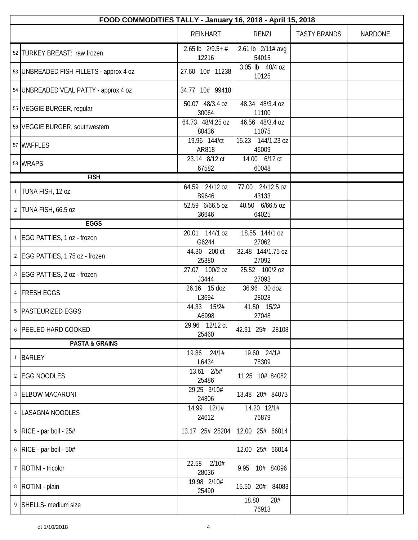|              | FOOD COMMODITIES TALLY - January 16, 2018 - April 15, 2018 |                                |                            |                     |                |  |
|--------------|------------------------------------------------------------|--------------------------------|----------------------------|---------------------|----------------|--|
|              |                                                            | <b>REINHART</b>                | RENZI                      | <b>TASTY BRANDS</b> | <b>NARDONE</b> |  |
|              | 52 TURKEY BREAST: raw frozen                               | $2.65$ lb $2/9.5 + #$<br>12216 | 2.61 lb 2/11# avg<br>54015 |                     |                |  |
|              | 53 UNBREADED FISH FILLETS - approx 4 oz                    | 27.60 10# 11238                | 3.05 lb 40/4 oz<br>10125   |                     |                |  |
|              | 54 UNBREADED VEAL PATTY - approx 4 oz                      | 34.77 10# 99418                |                            |                     |                |  |
|              | 55 VEGGIE BURGER, regular                                  | 50.07 48/3.4 oz<br>30064       | 48.34 48/3.4 oz<br>11100   |                     |                |  |
|              | 56 VEGGIE BURGER, southwestern                             | 64.73 48/4.25 oz<br>80436      | 46.56 48/3.4 oz<br>11075   |                     |                |  |
|              | 57 WAFFLES                                                 | 19.96 144/ct<br>AR818          | 15.23 144/1.23 oz<br>46009 |                     |                |  |
|              | 58 WRAPS                                                   | 23.14 8/12 ct<br>67582         | 14.00 6/12 ct<br>60048     |                     |                |  |
|              | <b>FISH</b>                                                |                                |                            |                     |                |  |
| $\mathbf{1}$ | TUNA FISH, 12 oz                                           | 64.59 24/12 oz<br>B9646        | 77.00 24/12.5 oz<br>43133  |                     |                |  |
|              | 2 TUNA FISH, 66.5 oz                                       | 52.59 6/66.5 oz<br>36646       | 40.50 6/66.5 oz<br>64025   |                     |                |  |
|              | <b>EGGS</b>                                                |                                |                            |                     |                |  |
|              | 1 EGG PATTIES, 1 oz - frozen                               | 20.01 144/1 oz<br>G6244        | 18.55 144/1 oz<br>27062    |                     |                |  |
|              | 2   EGG PATTIES, 1.75 oz - frozen                          | 44.30 200 ct<br>25380          | 32.48 144/1.75 oz<br>27092 |                     |                |  |
|              | 3 EGG PATTIES, 2 oz - frozen                               | 27.07 100/2 oz<br>J3444        | 25.52 100/2 oz<br>27093    |                     |                |  |
|              | 4 FRESH EGGS                                               | 26.16 15 doz<br>L3694          | 36.96 30 doz<br>28028      |                     |                |  |
|              | 5 PASTEURIZED EGGS                                         | 44.33<br>15/2#<br>A6998        | 41.50 15/2#<br>27048       |                     |                |  |
|              | 6 PEELED HARD COOKED                                       | 29.96 12/12 ct<br>25460        | 42.91 25# 28108            |                     |                |  |
|              | <b>PASTA &amp; GRAINS</b>                                  |                                |                            |                     |                |  |
|              | 1 BARLEY                                                   | $19.86$ $24/1#$<br>L6434       | 19.60 24/1#<br>78309       |                     |                |  |
|              | 2 EGG NOODLES                                              | 13.61 2/5#<br>25486            | 11.25 10# 84082            |                     |                |  |
|              | 3 ELBOW MACARONI                                           | 29.25 3/10#<br>24806           | 13.48 20# 84073            |                     |                |  |
|              | 4   LASAGNA NOODLES                                        | 14.99 12/1#<br>24612           | 14.20 12/1#<br>76879       |                     |                |  |
|              | $5$ RICE - par boil - 25#                                  | 13.17 25# 25204                | 12.00 25# 66014            |                     |                |  |
|              | $6$ RICE - par boil - 50#                                  |                                | 12.00 25# 66014            |                     |                |  |
|              | 7   ROTINI - tricolor                                      | 2/10#<br>22.58<br>28036        | 9.95 10# 84096             |                     |                |  |
|              | 8   ROTINI - plain                                         | 19.98 2/10#<br>25490           | 15.50 20# 84083            |                     |                |  |
|              | 9 SHELLS- medium size                                      |                                | 18.80<br>20#<br>76913      |                     |                |  |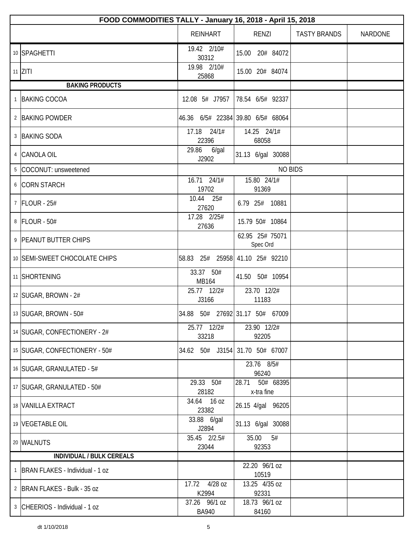| FOOD COMMODITIES TALLY - January 16, 2018 - April 15, 2018 |                                 |                                   |                     |                |
|------------------------------------------------------------|---------------------------------|-----------------------------------|---------------------|----------------|
|                                                            | <b>REINHART</b>                 | RENZI                             | <b>TASTY BRANDS</b> | <b>NARDONE</b> |
| 10 SPAGHETTI                                               | 19.42 2/10#<br>30312            | 15.00 20# 84072                   |                     |                |
| $11$ ZITI                                                  | 19.98 2/10#<br>25868            | 15.00 20# 84074                   |                     |                |
| <b>BAKING PRODUCTS</b>                                     |                                 |                                   |                     |                |
| 1 BAKING COCOA                                             | 12.08 5# J7957                  | 78.54 6/5# 92337                  |                     |                |
| 2 BAKING POWDER                                            |                                 | 46.36 6/5# 22384 39.80 6/5# 68064 |                     |                |
| 3 BAKING SODA                                              | 17.18 24/1#<br>22396            | 14.25 24/1#<br>68058              |                     |                |
| 4 CANOLA OIL                                               | 29.86<br>6/gal<br>J2902         | 31.13 6/gal 30088                 |                     |                |
| 5 COCONUT: unsweetened                                     |                                 | <b>NO BIDS</b>                    |                     |                |
| 6 CORN STARCH                                              | 16.71 24/1#<br>19702            | 15.80 24/1#<br>91369              |                     |                |
| 7 FLOUR - 25#                                              | 10.44 25#<br>27620              | 6.79 25# 10881                    |                     |                |
| 8 FLOUR - 50#                                              | 17.28 2/25#<br>27636            | 15.79 50# 10864                   |                     |                |
| 9 PEANUT BUTTER CHIPS                                      |                                 | 62.95 25# 75071<br>Spec Ord       |                     |                |
| 10 SEMI-SWEET CHOCOLATE CHIPS                              | 58.83 25# 25958 41.10 25# 92210 |                                   |                     |                |
| 11 SHORTENING                                              | 33.37 50#<br>MB164              | 41.50 50# 10954                   |                     |                |
| 12 SUGAR, BROWN - 2#                                       | 25.77 12/2#<br>J3166            | 23.70 12/2#<br>11183              |                     |                |
| 13   SUGAR, BROWN - 50#                                    |                                 | 34.88 50# 27692 31.17 50# 67009   |                     |                |
| 14 SUGAR, CONFECTIONERY - 2#                               | 25.77 12/2#<br>33218            | 23.90 12/2#<br>92205              |                     |                |
| 15 SUGAR, CONFECTIONERY - 50#                              | 34.62 50# J3154 31.70 50# 67007 |                                   |                     |                |
| 16 SUGAR, GRANULATED - 5#                                  |                                 | 23.76 8/5#<br>96240               |                     |                |
| 17   SUGAR, GRANULATED - 50#                               | 29.33 50#<br>28182              | 50# 68395<br>28.71<br>x-tra fine  |                     |                |
| 18 VANILLA EXTRACT                                         | 34.64 16 oz<br>23382            | 26.15 4/gal 96205                 |                     |                |
| 19 VEGETABLE OIL                                           | 33.88 6/gal<br>J2894            | 31.13 6/gal 30088                 |                     |                |
| 20 WALNUTS                                                 | 35.45 2/2.5#<br>23044           | 35.00<br>5#<br>92353              |                     |                |
| <b>INDIVIDUAL / BULK CEREALS</b>                           |                                 |                                   |                     |                |
| 1   BRAN FLAKES - Individual - 1 oz                        |                                 | 22.20 96/1 oz<br>10519            |                     |                |
| 2   BRAN FLAKES - Bulk - 35 oz                             | 17.72 4/28 oz<br>K2994          | 13.25 4/35 oz<br>92331            |                     |                |
| 3 CHEERIOS - Individual - 1 oz                             | 37.26 96/1 oz<br><b>BA940</b>   | 18.73 96/1 oz<br>84160            |                     |                |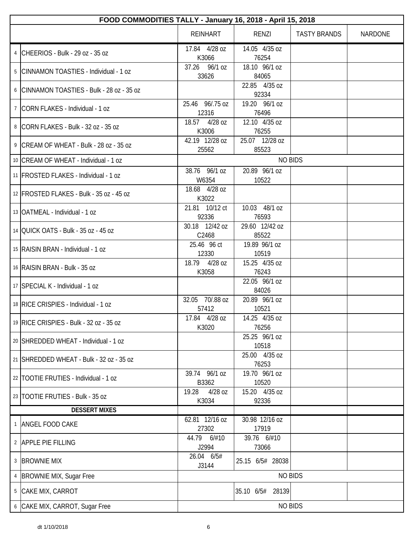|   | FOOD COMMODITIES TALLY - January 16, 2018 - April 15, 2018 |                           |                            |                     |         |  |
|---|------------------------------------------------------------|---------------------------|----------------------------|---------------------|---------|--|
|   |                                                            | <b>REINHART</b>           | RENZI                      | <b>TASTY BRANDS</b> | NARDONE |  |
|   | CHEERIOS - Bulk - 29 oz - 35 oz                            | 17.84 4/28 oz<br>K3066    | 14.05 4/35 oz<br>76254     |                     |         |  |
| 5 | CINNAMON TOASTIES - Individual - 1 oz                      | 37.26 96/1 oz<br>33626    | 18.10 96/1 oz<br>84065     |                     |         |  |
|   | 6 CINNAMON TOASTIES - Bulk - 28 oz - 35 oz                 |                           | 22.85 4/35 oz<br>92334     |                     |         |  |
|   | <sup>7</sup> CORN FLAKES - Individual - 1 oz               | 25.46 96/.75 oz<br>12316  | 19.20 96/1 oz<br>76496     |                     |         |  |
|   | 8 CORN FLAKES - Bulk - 32 oz - 35 oz                       | 18.57 4/28 oz<br>K3006    | 12.10 4/35 oz<br>76255     |                     |         |  |
|   | 9 CREAM OF WHEAT - Bulk - 28 oz - 35 oz                    | 42.19 12/28 oz<br>25562   | 25.07 12/28 oz<br>85523    |                     |         |  |
|   | 10 CREAM OF WHEAT - Individual - 1 oz                      |                           | <b>NO BIDS</b>             |                     |         |  |
|   | 11   FROSTED FLAKES - Individual - 1 oz                    | 38.76 96/1 oz<br>W6354    | 20.89 96/1 oz<br>10522     |                     |         |  |
|   | 12 FROSTED FLAKES - Bulk - 35 oz - 45 oz                   | 18.68 4/28 oz<br>K3022    |                            |                     |         |  |
|   | 13   OATMEAL - Individual - 1 oz                           | 21.81 10/12 ct<br>92336   | 10.03 48/1 oz<br>76593     |                     |         |  |
|   | 14 OUICK OATS - Bulk - 35 oz - 45 oz                       | 30.18 12/42 oz<br>C2468   | 29.60 12/42 oz<br>85522    |                     |         |  |
|   | 15   RAISIN BRAN - Individual - 1 oz                       | 25.46 96 ct<br>12330      | 19.89 96/1 oz<br>10519     |                     |         |  |
|   | 16 RAISIN BRAN - Bulk - 35 oz                              | 18.79 4/28 oz<br>K3058    | 15.25 4/35 oz<br>76243     |                     |         |  |
|   | 17 SPECIAL K - Individual - 1 oz                           |                           | 22.05 96/1 oz<br>84026     |                     |         |  |
|   | 18 RICE CRISPIES - Individual - 1 oz                       | 32.05 70/.88 oz<br>57412  | 20.89 96/1 oz<br>10521     |                     |         |  |
|   | 19 RICE CRISPIES - Bulk - 32 oz - 35 oz                    | 17.84 4/28 oz<br>K3020    | $14.25$ $4/35$ oz<br>76256 |                     |         |  |
|   | 20 SHREDDED WHEAT - Individual - 1 oz                      |                           | 25.25 96/1 oz<br>10518     |                     |         |  |
|   | 21 SHREDDED WHEAT - Bulk - 32 oz - 35 oz                   |                           | 25.00 4/35 oz<br>76253     |                     |         |  |
|   | 22 TOOTIE FRUTIES - Individual - 1 oz                      | 39.74 96/1 oz<br>B3362    | 19.70 96/1 oz<br>10520     |                     |         |  |
|   | 23 TOOTIE FRUTIES - Bulk - 35 oz                           | 19.28<br>4/28 oz<br>K3034 | 15.20 4/35 oz<br>92336     |                     |         |  |
|   | <b>DESSERT MIXES</b>                                       |                           |                            |                     |         |  |
|   | ANGEL FOOD CAKE                                            | 62.81 12/16 oz<br>27302   | 30.98 12/16 oz<br>17919    |                     |         |  |
|   | 2 APPLE PIE FILLING                                        | 44.79 6/#10<br>J2994      | 39.76 6/#10<br>73066       |                     |         |  |
|   | 3 BROWNIE MIX                                              | 26.04 6/5#<br>J3144       | 25.15 6/5# 28038           |                     |         |  |
|   | 4   BROWNIE MIX, Sugar Free                                |                           | <b>NO BIDS</b>             |                     |         |  |
| 5 | CAKE MIX, CARROT                                           |                           | 35.10 6/5# 28139           |                     |         |  |
|   | 6 CAKE MIX, CARROT, Sugar Free                             |                           | <b>NO BIDS</b>             |                     |         |  |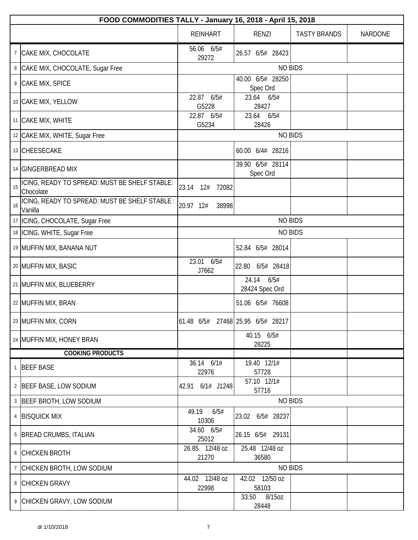|                 | FOOD COMMODITIES TALLY - January 16, 2018 - April 15, 2018 |                         |                                   |                     |                |  |
|-----------------|------------------------------------------------------------|-------------------------|-----------------------------------|---------------------|----------------|--|
|                 |                                                            | <b>REINHART</b>         | <b>RENZI</b>                      | <b>TASTY BRANDS</b> | <b>NARDONE</b> |  |
| $7\overline{ }$ | CAKE MIX, CHOCOLATE                                        | 56.06 6/5#<br>29272     | 26.57 6/5# 28423                  |                     |                |  |
|                 | 8 CAKE MIX, CHOCOLATE, Sugar Free                          |                         | <b>NO BIDS</b>                    |                     |                |  |
| 9               | CAKE MIX, SPICE                                            |                         | 40.00 6/5# 28250<br>Spec Ord      |                     |                |  |
|                 | 10 CAKE MIX, YELLOW                                        | 22.87 6/5#<br>G5228     | 23.64 6/5#<br>28427               |                     |                |  |
|                 | 11 CAKE MIX, WHITE                                         | 22.87 6/5#<br>G5234     | 23.64 6/5#<br>28426               |                     |                |  |
|                 | 12 CAKE MIX, WHITE, Sugar Free                             |                         | <b>NO BIDS</b>                    |                     |                |  |
|                 | 13 CHEESECAKE                                              |                         | 60.00 6/4# 28216                  |                     |                |  |
|                 | 14 GINGERBREAD MIX                                         |                         | 39.90 6/5# 28114<br>Spec Ord      |                     |                |  |
| 15              | ICING, READY TO SPREAD: MUST BE SHELF STABLE:<br>Chocolate | 23.14<br>12#<br>72082   |                                   |                     |                |  |
| 16              | ICING, READY TO SPREAD: MUST BE SHELF STABLE :<br>Vanilla  | 20.97 12#<br>38998      |                                   |                     |                |  |
|                 | 17   ICING, CHOCOLATE, Sugar Free                          |                         | <b>NO BIDS</b>                    |                     |                |  |
|                 | 18   ICING, WHITE, Sugar Free                              |                         | <b>NO BIDS</b>                    |                     |                |  |
|                 | 19 MUFFIN MIX, BANANA NUT                                  |                         | 52.84 6/5# 28014                  |                     |                |  |
|                 | 20 MUFFIN MIX, BASIC                                       | 23.01<br>6/5#<br>J7662  | 6/5# 28418<br>22.80               |                     |                |  |
|                 | 21 MUFFIN MIX, BLUEBERRY                                   |                         | 6/5#<br>24.14<br>28424 Spec Ord   |                     |                |  |
|                 | 22 MUFFIN MIX, BRAN                                        |                         | 51.06 6/5# 76608                  |                     |                |  |
|                 | 23 MUFFIN MIX, CORN                                        |                         | 61.48 6/5# 27468 25.95 6/5# 28217 |                     |                |  |
|                 | 24   MUFFIN MIX, HONEY BRAN                                |                         | 40.15 6/5#<br>28225               |                     |                |  |
|                 | <b>COOKING PRODUCTS</b>                                    |                         |                                   |                     |                |  |
|                 | 1 BEEF BASE                                                | 36.14 6/1#<br>22976     | 19.40 12/1#<br>57728              |                     |                |  |
|                 | 2 BEEF BASE, LOW SODIUM                                    | 42.91 6/1# J1248        | 57.10 12/1#<br>57716              |                     |                |  |
|                 | 3 BEEF BROTH, LOW SODIUM                                   |                         | <b>NO BIDS</b>                    |                     |                |  |
|                 | 4 BISQUICK MIX                                             | 49.19<br>6/5#<br>10306  | 23.02 6/5# 28237                  |                     |                |  |
|                 | 5   BREAD CRUMBS, ITALIAN                                  | 34.60 6/5#<br>25012     | 26.15 6/5# 29131                  |                     |                |  |
|                 | 6 CHICKEN BROTH                                            | 26.85 12/48 oz<br>21270 | 25.48 12/48 oz<br>36580           |                     |                |  |
|                 | 7 CHICKEN BROTH, LOW SODIUM                                |                         | <b>NO BIDS</b>                    |                     |                |  |
|                 | 8 CHICKEN GRAVY                                            | 44.02 12/48 oz<br>22998 | 42.02 12/50 oz<br>58103           |                     |                |  |
|                 | 9 CHICKEN GRAVY, LOW SODIUM                                |                         | 33.50<br>8/15oz<br>28448          |                     |                |  |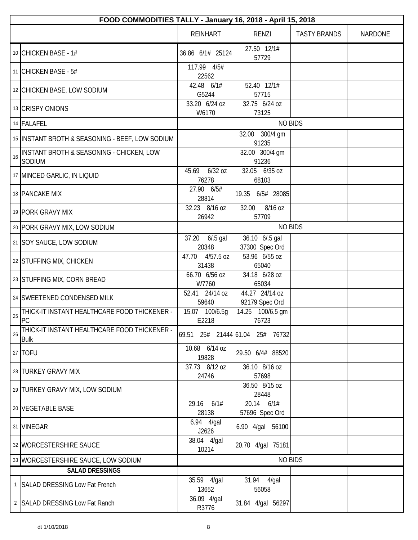|    | FOOD COMMODITIES TALLY - January 16, 2018 - April 15, 2018  |                             |                                  |                     |                |  |
|----|-------------------------------------------------------------|-----------------------------|----------------------------------|---------------------|----------------|--|
|    |                                                             | <b>REINHART</b>             | RENZI                            | <b>TASTY BRANDS</b> | <b>NARDONE</b> |  |
|    | 10 CHICKEN BASE - 1#                                        | 36.86 6/1# 25124            | 27.50 12/1#<br>57729             |                     |                |  |
|    | 11 CHICKEN BASE - $5#$                                      | 117.99 4/5#<br>22562        |                                  |                     |                |  |
|    | 12 CHICKEN BASE, LOW SODIUM                                 | 42.48 6/1#<br>G5244         | 52.40 12/1#<br>57715             |                     |                |  |
|    | 13 CRISPY ONIONS                                            | 33.20 6/24 oz<br>W6170      | 32.75 6/24 oz<br>73125           |                     |                |  |
|    | 14 FALAFEL                                                  |                             | <b>NO BIDS</b>                   |                     |                |  |
|    | 15 INSTANT BROTH & SEASONING - BEEF, LOW SODIUM             |                             | 32.00 300/4 gm<br>91235          |                     |                |  |
| 16 | INSTANT BROTH & SEASONING - CHICKEN, LOW<br>SODIUM          |                             | 32.00 300/4 gm<br>91236          |                     |                |  |
|    | 17 MINCED GARLIC, IN LIQUID                                 | 45.69 6/32 oz<br>76278      | 32.05 6/35 oz<br>68103           |                     |                |  |
|    | 18 PANCAKE MIX                                              | 27.90 6/5#<br>28814         | 19.35 6/5# 28085                 |                     |                |  |
|    | 19 PORK GRAVY MIX                                           | 32.23 8/16 oz<br>26942      | 8/16 oz<br>32.00<br>57709        |                     |                |  |
|    | 20 PORK GRAVY MIX, LOW SODIUM                               |                             | <b>NO BIDS</b>                   |                     |                |  |
|    | 21 SOY SAUCE, LOW SODIUM                                    | 37.20 6/.5 gal<br>20348     | 36.10 6/.5 gal<br>37300 Spec Ord |                     |                |  |
|    | 22 STUFFING MIX, CHICKEN                                    | 47.70<br>4/57.5 oz<br>31438 | 53.96 6/55 oz<br>65040           |                     |                |  |
|    | 23 STUFFING MIX, CORN BREAD                                 | 66.70 6/56 oz<br>W7760      | 34.18 6/28 oz<br>65034           |                     |                |  |
|    | 24 SWEETENED CONDENSED MILK                                 | 52.41 24/14 oz<br>59640     | 44.27 24/14 oz<br>92179 Spec Ord |                     |                |  |
| 25 | THICK-IT INSTANT HEALTHCARE FOOD THICKENER -<br>PC          | 15.07 100/6.5g<br>E2218     | 14.25 100/6.5 gm<br>76723        |                     |                |  |
| 26 | THICK-IT INSTANT HEALTHCARE FOOD THICKENER -<br><b>Bulk</b> |                             | 69.51 25# 21444 61.04 25# 76732  |                     |                |  |
|    | 27   TOFU                                                   | 10.68 6/14 oz<br>19828      | 29.50 6/4# 88520                 |                     |                |  |
|    | 28 TURKEY GRAVY MIX                                         | 37.73 8/12 oz<br>24746      | 36.10 8/16 oz<br>57698           |                     |                |  |
|    | 29 TURKEY GRAVY MIX, LOW SODIUM                             |                             | 36.50 8/15 oz<br>28448           |                     |                |  |
|    | 30 VEGETABLE BASE                                           | 29.16 6/1#<br>28138         | 20.14 6/1#<br>57696 Spec Ord     |                     |                |  |
|    | 31 VINEGAR                                                  | 6.94 4/gal<br>J2626         | 6.90 4/gal 56100                 |                     |                |  |
|    | 32 WORCESTERSHIRE SAUCE                                     | 38.04 4/gal<br>10214        | 20.70 4/gal 75181                |                     |                |  |
|    | 33   WORCESTERSHIRE SAUCE, LOW SODIUM                       |                             | <b>NO BIDS</b>                   |                     |                |  |
|    | <b>SALAD DRESSINGS</b>                                      |                             |                                  |                     |                |  |
|    | 1 SALAD DRESSING Low Fat French                             | 35.59 4/gal<br>13652        | 31.94 4/gal<br>56058             |                     |                |  |
|    | 2   SALAD DRESSING Low Fat Ranch                            | 36.09 4/gal<br>R3776        | 31.84 4/gal 56297                |                     |                |  |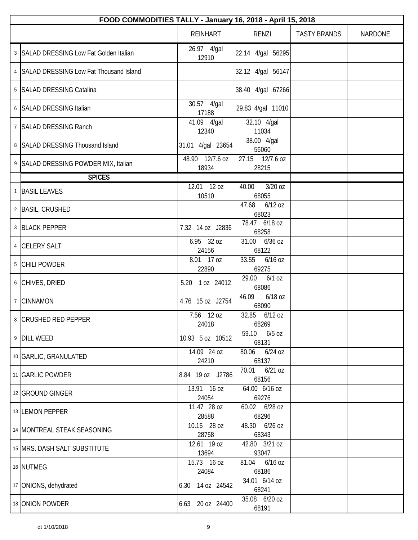| FOOD COMMODITIES TALLY - January 16, 2018 - April 15, 2018 |                          |                             |                     |                |
|------------------------------------------------------------|--------------------------|-----------------------------|---------------------|----------------|
|                                                            | <b>REINHART</b>          | RENZI                       | <b>TASTY BRANDS</b> | <b>NARDONE</b> |
| 3 SALAD DRESSING Low Fat Golden Italian                    | 26.97 4/gal<br>12910     | 22.14 4/gal 56295           |                     |                |
| 4 SALAD DRESSING Low Fat Thousand Island                   |                          | 32.12 4/gal 56147           |                     |                |
| 5   SALAD DRESSING Catalina                                |                          | 38.40 4/gal 67266           |                     |                |
| 6 SALAD DRESSING Italian                                   | 30.57 4/gal<br>17188     | 29.83 4/gal 11010           |                     |                |
| 7   SALAD DRESSING Ranch                                   | 41.09 4/gal<br>12340     | 32.10 4/gal<br>11034        |                     |                |
| 8 SALAD DRESSING Thousand Island                           | 31.01 4/gal 23654        | 38.00 4/gal<br>56060        |                     |                |
| 9 SALAD DRESSING POWDER MIX, Italian                       | 48.90 12/7.6 oz<br>18934 | 27.15 12/7.6 oz<br>28215    |                     |                |
| <b>SPICES</b>                                              |                          |                             |                     |                |
| 1 BASIL LEAVES                                             | 12.01 12 oz<br>10510     | $3/20$ oz<br>40.00<br>68055 |                     |                |
| 2 BASIL, CRUSHED                                           |                          | 47.68<br>$6/12$ oz<br>68023 |                     |                |
| 3 BLACK PEPPER                                             | 7.32 14 oz J2836         | 78.47 6/18 oz<br>68258      |                     |                |
| 4 CELERY SALT                                              | 6.95 32 oz<br>24156      | 31.00 6/36 oz<br>68122      |                     |                |
| 5 CHILI POWDER                                             | 8.01 17 oz<br>22890      | 33.55<br>$6/16$ OZ<br>69275 |                     |                |
| 6 CHIVES, DRIED                                            | 5.20 1 oz 24012          | 29.00<br>$6/1$ oz<br>68086  |                     |                |
| 7 CINNAMON                                                 | 4.76 15 oz J2754         | 46.09<br>6/18 oz<br>68090   |                     |                |
| 8 CRUSHED RED PEPPER                                       | 7.56 12 oz<br>24018      | 32.85 6/12 oz<br>68269      |                     |                |
| 9 DILL WEED                                                | 10.93 5 oz 10512         | 59.10<br>$6/5$ oz<br>68131  |                     |                |
| 10 GARLIC, GRANULATED                                      | 14.09 24 oz<br>24210     | 80.06<br>$6/24$ oz<br>68137 |                     |                |
| 11 GARLIC POWDER                                           | 8.84 19 oz J2786         | 70.01<br>$6/21$ oz<br>68156 |                     |                |
| 12 GROUND GINGER                                           | 13.91 16 oz<br>24054     | 64.00 6/16 oz<br>69276      |                     |                |
| 13 LEMON PEPPER                                            | 11.47 28 oz<br>28588     | 60.02 6/28 oz<br>68296      |                     |                |
| 14 MONTREAL STEAK SEASONING                                | 10.15 28 oz<br>28758     | 48.30 6/26 oz<br>68343      |                     |                |
| 15 MRS. DASH SALT SUBSTITUTE                               | 12.61 19 oz<br>13694     | 42.80 3/21 oz<br>93047      |                     |                |
| 16 NUTMEG                                                  | 15.73 16 oz<br>24084     | 81.04<br>$6/16$ OZ<br>68186 |                     |                |
| 17 ONIONS, dehydrated                                      | 6.30 14 oz 24542         | 34.01 6/14 oz<br>68241      |                     |                |
| 18 ONION POWDER                                            | 6.63 20 oz 24400         | 35.08 6/20 oz<br>68191      |                     |                |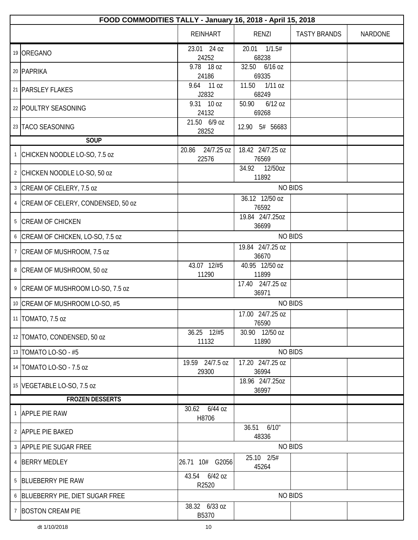|              | FOOD COMMODITIES TALLY - January 16, 2018 - April 15, 2018 |                              |                             |                     |         |  |
|--------------|------------------------------------------------------------|------------------------------|-----------------------------|---------------------|---------|--|
|              |                                                            | <b>REINHART</b>              | <b>RENZI</b>                | <b>TASTY BRANDS</b> | NARDONE |  |
|              | 19 OREGANO                                                 | 23.01 24 oz<br>24252         | 20.01<br>1/1.5#<br>68238    |                     |         |  |
|              | 20 PAPRIKA                                                 | 9.78 18 oz<br>24186          | 32.50 6/16 oz<br>69335      |                     |         |  |
|              | 21   PARSLEY FLAKES                                        | 9.64 11 oz<br>J2832          | 11.50<br>$1/11$ oz<br>68249 |                     |         |  |
|              | 22 POULTRY SEASONING                                       | 9.31 10 oz<br>24132          | 50.90<br>$6/12$ oz<br>69268 |                     |         |  |
|              | 23 TACO SEASONING                                          | 21.50 6/9 oz<br>28252        | 12.90 5# 56683              |                     |         |  |
|              | <b>SOUP</b>                                                |                              |                             |                     |         |  |
| $\mathbf{1}$ | CHICKEN NOODLE LO-SO, 7.5 oz                               | 24/7.25 oz<br>20.86<br>22576 | 18.42 24/7.25 oz<br>76569   |                     |         |  |
|              | 2 CHICKEN NOODLE LO-SO, 50 oz                              |                              | 34.92 12/50oz<br>11892      |                     |         |  |
|              | 3 CREAM OF CELERY, 7.5 oz                                  |                              |                             | <b>NO BIDS</b>      |         |  |
|              | 4 CREAM OF CELERY, CONDENSED, 50 oz                        |                              | 36.12 12/50 oz<br>76592     |                     |         |  |
|              | 5 CREAM OF CHICKEN                                         |                              | 19.84 24/7.25oz<br>36699    |                     |         |  |
|              | 6 CREAM OF CHICKEN, LO-SO, 7.5 oz                          |                              |                             | <b>NO BIDS</b>      |         |  |
|              | 7   CREAM OF MUSHROOM, 7.5 oz                              |                              | 19.84 24/7.25 oz<br>36670   |                     |         |  |
|              | 8 CREAM OF MUSHROOM, 50 oz                                 | 43.07 12/#5<br>11290         | 40.95 12/50 oz<br>11899     |                     |         |  |
|              | 9 CREAM OF MUSHROOM LO-SO, 7.5 oz                          |                              | 17.40 24/7.25 oz<br>36971   |                     |         |  |
|              | 10 CREAM OF MUSHROOM LO-SO, #5                             |                              |                             | <b>NO BIDS</b>      |         |  |
|              | 11   TOMATO, 7.5 oz                                        |                              | 17.00 24/7.25 oz<br>76590   |                     |         |  |
|              | 12 TOMATO, CONDENSED, 50 oz                                | 36.25 12/#5<br>11132         | 30.90 12/50 oz<br>11890     |                     |         |  |
|              | 13   TOMATO LO-SO - #5                                     |                              |                             | <b>NO BIDS</b>      |         |  |
|              | 14   TOMATO LO-SO - 7.5 oz                                 | 19.59 24/7.5 oz<br>29300     | 17.20 24/7.25 oz<br>36994   |                     |         |  |
|              | 15   VEGETABLE LO-SO, 7.5 oz                               |                              | 18.96 24/7.25oz<br>36997    |                     |         |  |
|              | <b>FROZEN DESSERTS</b>                                     |                              |                             |                     |         |  |
|              | 1 APPLE PIE RAW                                            | 30.62 6/44 oz<br>H8706       |                             |                     |         |  |
|              | 2 APPLE PIE BAKED                                          |                              | 6/10"<br>36.51<br>48336     |                     |         |  |
|              | 3 APPLE PIE SUGAR FREE                                     |                              | <b>NO BIDS</b>              |                     |         |  |
|              | 4 BERRY MEDLEY                                             | 26.71 10# G2056              | 25.10 2/5#<br>45264         |                     |         |  |
|              | 5 BLUEBERRY PIE RAW                                        | 43.54 6/42 oz<br>R2520       |                             |                     |         |  |
|              | 6 BLUEBERRY PIE, DIET SUGAR FREE                           |                              |                             | <b>NO BIDS</b>      |         |  |
|              | 7 BOSTON CREAM PIE                                         | 38.32 6/33 oz<br>B5370       |                             |                     |         |  |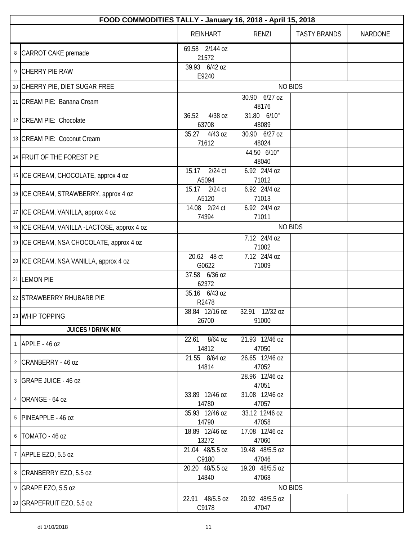| FOOD COMMODITIES TALLY - January 16, 2018 - April 15, 2018 |                             |                          |                     |                |  |
|------------------------------------------------------------|-----------------------------|--------------------------|---------------------|----------------|--|
|                                                            | <b>REINHART</b>             | RENZI                    | <b>TASTY BRANDS</b> | <b>NARDONE</b> |  |
| 8 CARROT CAKE premade                                      | 69.58 2/144 oz<br>21572     |                          |                     |                |  |
| 9 CHERRY PIE RAW                                           | 39.93 6/42 oz<br>E9240      |                          |                     |                |  |
| 10 CHERRY PIE, DIET SUGAR FREE                             |                             |                          | <b>NO BIDS</b>      |                |  |
| 11 CREAM PIE: Banana Cream                                 |                             | 30.90 6/27 oz<br>48176   |                     |                |  |
| 12 CREAM PIE: Chocolate                                    | 36.52<br>4/38 oz<br>63708   | 31.80 6/10"<br>48089     |                     |                |  |
| 13 CREAM PIE: Coconut Cream                                | 35.27 4/43 oz<br>71612      | 30.90 6/27 oz<br>48024   |                     |                |  |
| 14 FRUIT OF THE FOREST PIE                                 |                             | 44.50 6/10"<br>48040     |                     |                |  |
| 15   ICE CREAM, CHOCOLATE, approx 4 oz                     | $2/24$ ct<br>15.17<br>A5094 | 6.92 24/4 oz<br>71012    |                     |                |  |
| 16 ICE CREAM, STRAWBERRY, approx 4 oz                      | 2/24 ct<br>15.17<br>A5120   | 6.92 24/4 oz<br>71013    |                     |                |  |
| 17 ICE CREAM, VANILLA, approx 4 oz                         | 14.08 2/24 ct<br>74394      | 6.92 24/4 oz<br>71011    |                     |                |  |
| 18 ICE CREAM, VANILLA -LACTOSE, approx 4 oz                |                             |                          | <b>NO BIDS</b>      |                |  |
| 19 ICE CREAM, NSA CHOCOLATE, approx 4 oz                   |                             | 7.12 24/4 oz<br>71002    |                     |                |  |
| 20   ICE CREAM, NSA VANILLA, approx 4 oz                   | 20.62 48 ct<br>G0622        | 7.12 24/4 oz<br>71009    |                     |                |  |
| 21 LEMON PIE                                               | 37.58 6/36 oz<br>62372      |                          |                     |                |  |
| 22 STRAWBERRY RHUBARB PIE                                  | 35.16 6/43 oz<br>R2478      |                          |                     |                |  |
| 23 WHIP TOPPING                                            | 38.84 12/16 oz<br>26700     | 32.91 12/32 oz<br>91000  |                     |                |  |
| <b>JUICES / DRINK MIX</b>                                  |                             |                          |                     |                |  |
| $1$ APPLE - 46 oz                                          | 22.61 8/64 oz<br>14812      | 21.93 12/46 oz<br>47050  |                     |                |  |
| 2 CRANBERRY - 46 oz                                        | 21.55 8/64 oz<br>14814      | 26.65 12/46 oz<br>47052  |                     |                |  |
| 3 GRAPE JUICE - 46 oz                                      |                             | 28.96 12/46 oz<br>47051  |                     |                |  |
| 4 ORANGE - 64 oz                                           | 33.89 12/46 oz<br>14780     | 31.08 12/46 oz<br>47057  |                     |                |  |
| 5 PINEAPPLE - 46 oz                                        | 35.93 12/46 oz<br>14790     | 33.12 12/46 oz<br>47058  |                     |                |  |
| 6   TOMATO - 46 oz                                         | 18.89 12/46 oz<br>13272     | 17.08 12/46 oz<br>47060  |                     |                |  |
| 7 APPLE EZO, 5.5 oz                                        | 21.04 48/5.5 oz<br>C9180    | 19.48 48/5.5 oz<br>47046 |                     |                |  |
| 8 CRANBERRY EZO, 5.5 oz                                    | 20.20 48/5.5 oz<br>14840    | 19.20 48/5.5 oz<br>47068 |                     |                |  |
| 9 GRAPE EZO, 5.5 oz                                        |                             |                          | <b>NO BIDS</b>      |                |  |
| 10 GRAPEFRUIT EZO, 5.5 oz                                  | 22.91 48/5.5 oz<br>C9178    | 20.92 48/5.5 oz<br>47047 |                     |                |  |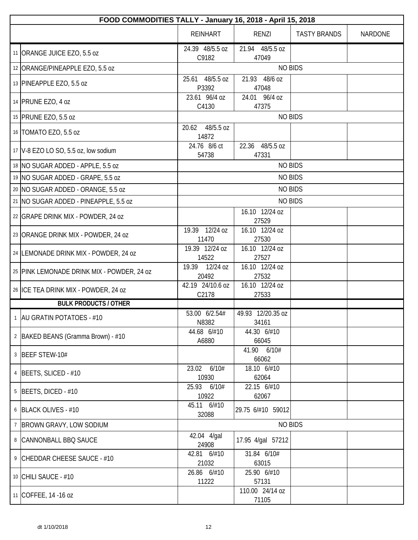| FOOD COMMODITIES TALLY - January 16, 2018 - April 15, 2018 |                             |                            |                     |                |
|------------------------------------------------------------|-----------------------------|----------------------------|---------------------|----------------|
|                                                            | <b>REINHART</b>             | <b>RENZI</b>               | <b>TASTY BRANDS</b> | <b>NARDONE</b> |
| 11 ORANGE JUICE EZO, 5.5 oz                                | 24.39 48/5.5 oz<br>C9182    | 21.94 48/5.5 oz<br>47049   |                     |                |
| 12 ORANGE/PINEAPPLE EZO, 5.5 oz                            |                             | <b>NO BIDS</b>             |                     |                |
| 13 PINEAPPLE EZO, 5.5 oz                                   | 48/5.5 oz<br>25.61<br>P3392 | 48/6 oz<br>21.93<br>47048  |                     |                |
| 14 PRUNE EZO, 4 oz                                         | 23.61 96/4 oz<br>C4130      | 24.01 96/4 oz<br>47375     |                     |                |
| 15 PRUNE EZO, 5.5 oz                                       |                             | <b>NO BIDS</b>             |                     |                |
| 16   TOMATO EZO, 5.5 oz                                    | 48/5.5 oz<br>20.62<br>14872 |                            |                     |                |
| 17 V-8 EZO LO SO, 5.5 oz, low sodium                       | 24.76 8/6 ct<br>54738       | 22.36 48/5.5 oz<br>47331   |                     |                |
| 18 NO SUGAR ADDED - APPLE, 5.5 oz                          |                             | <b>NO BIDS</b>             |                     |                |
| 19 NO SUGAR ADDED - GRAPE, 5.5 oz                          |                             | <b>NO BIDS</b>             |                     |                |
| 20 NO SUGAR ADDED - ORANGE, 5.5 oz                         |                             | <b>NO BIDS</b>             |                     |                |
| 21 NO SUGAR ADDED - PINEAPPLE, 5.5 oz                      |                             | <b>NO BIDS</b>             |                     |                |
| 22 GRAPE DRINK MIX - POWDER, 24 oz                         |                             | 16.10 12/24 oz<br>27529    |                     |                |
| 23 ORANGE DRINK MIX - POWDER, 24 oz                        | 19.39 12/24 oz<br>11470     | 16.10 12/24 oz<br>27530    |                     |                |
| 24 LEMONADE DRINK MIX - POWDER, 24 oz                      | 19.39 12/24 oz<br>14522     | 16.10 12/24 oz<br>27527    |                     |                |
| 25 PINK LEMONADE DRINK MIX - POWDER, 24 oz                 | 19.39 12/24 oz<br>20492     | 16.10 12/24 oz<br>27532    |                     |                |
| 26 ICE TEA DRINK MIX - POWDER, 24 oz                       | 42.19 24/10.6 oz<br>C2178   | 16.10 12/24 oz<br>27533    |                     |                |
| <b>BULK PRODUCTS / OTHER</b>                               |                             |                            |                     |                |
| 1   AU GRATIN POTATOES - #10                               | 53.00 6/2.54#<br>N8382      | 49.93 12/20.35 oz<br>34161 |                     |                |
| 2 BAKED BEANS (Gramma Brown) - #10                         | 44.68 6/#10<br>A6880        | 44.30 6/#10<br>66045       |                     |                |
| 3   BEEF STEW-10#                                          |                             | 41.90 6/10#<br>66062       |                     |                |
| 4 BEETS, SLICED - #10                                      | 23.02 6/10#<br>10930        | 18.10 6/#10<br>62064       |                     |                |
| $5$ BEETS, DICED - #10                                     | 25.93 6/10#<br>10922        | 22.15 6/#10<br>62067       |                     |                |
| 6 BLACK OLIVES - #10                                       | 45.11 6/#10<br>32088        | 29.75 6/#10 59012          |                     |                |
| 7 BROWN GRAVY, LOW SODIUM                                  |                             | <b>NO BIDS</b>             |                     |                |
| 8 CANNONBALL BBQ SAUCE                                     | 42.04 4/gal<br>24908        | 17.95 4/gal 57212          |                     |                |
| 9 CHEDDAR CHEESE SAUCE - #10                               | 42.81 6/#10<br>21032        | 31.84 6/10#<br>63015       |                     |                |
| 10 CHILI SAUCE - #10                                       | 26.86 6/#10<br>11222        | 25.90 6/#10<br>57131       |                     |                |
| 11 COFFEE, 14 -16 oz                                       |                             | 110.00 24/14 oz<br>71105   |                     |                |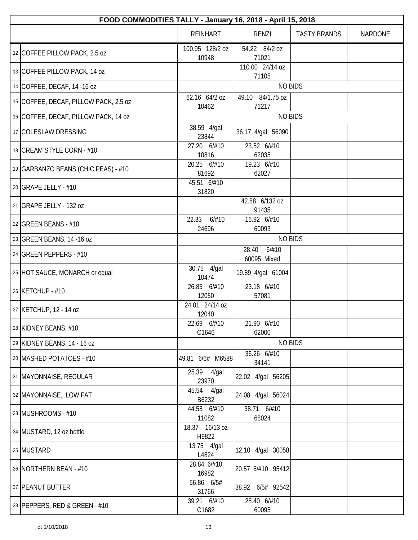| FOOD COMMODITIES TALLY - January 16, 2018 - April 15, 2018 |                          |                                   |                     |                |  |  |
|------------------------------------------------------------|--------------------------|-----------------------------------|---------------------|----------------|--|--|
|                                                            | <b>REINHART</b>          | RENZI                             | <b>TASTY BRANDS</b> | <b>NARDONE</b> |  |  |
| 12 COFFEE PILLOW PACK, 2.5 oz                              | 100.95 128/2 oz<br>10948 | 54.22 84/2 oz<br>71021            |                     |                |  |  |
| 13 COFFEE PILLOW PACK, 14 oz                               |                          | 110.00 24/14 oz<br>71105          |                     |                |  |  |
| 14 COFFEE, DECAF, 14 -16 oz                                |                          | <b>NO BIDS</b>                    |                     |                |  |  |
| 15 COFFEE, DECAF, PILLOW PACK, 2.5 oz                      | 62.16 64/2 oz<br>10462   | 49.10 84/1.75 oz<br>71217         |                     |                |  |  |
| 16 COFFEE, DECAF, PILLOW PACK, 14 oz                       |                          | <b>NO BIDS</b>                    |                     |                |  |  |
| 17 COLESLAW DRESSING                                       | 38.59 4/gal<br>23844     | 36.17 4/gal 56090                 |                     |                |  |  |
| 18 CREAM STYLE CORN - #10                                  | 27.20 6/#10<br>10816     | 23.52 6/#10<br>62035              |                     |                |  |  |
| 19   GARBANZO BEANS (CHIC PEAS) - #10                      | 20.25 6/#10<br>81692     | $\overline{19.23}$ 6/#10<br>62027 |                     |                |  |  |
| 20 GRAPE JELLY - #10                                       | 45.51 6/#10<br>31820     |                                   |                     |                |  |  |
| 21 GRAPE JELLY - 132 oz                                    |                          | 42.88 6/132 oz<br>91435           |                     |                |  |  |
| 22 GREEN BEANS - #10                                       | 22.33<br>6/#10<br>24696  | 16.92 6/#10<br>60093              |                     |                |  |  |
| 23 GREEN BEANS, 14 -16 oz                                  |                          | <b>NO BIDS</b>                    |                     |                |  |  |
| 24 GREEN PEPPERS - #10                                     |                          | 28.40<br>6/#10<br>60095 Mixed     |                     |                |  |  |
| 25 HOT SAUCE, MONARCH or equal                             | 30.75 4/gal<br>10474     | 19.89 4/gal 61004                 |                     |                |  |  |
| 26 KETCHUP - #10                                           | 26.85 6/#10<br>12050     | 23.18 6/#10<br>57081              |                     |                |  |  |
| 27 KETCHUP, 12 - 14 oz                                     | 24.01 24/14 oz<br>12040  |                                   |                     |                |  |  |
| 28 KIDNEY BEANS, #10                                       | 22.69 6/#10<br>C1646     | 21.90 6/#10<br>62000              |                     |                |  |  |
| 29 KIDNEY BEANS, 14 - 16 oz                                |                          | <b>NO BIDS</b>                    |                     |                |  |  |
| 30   MASHED POTATOES - #10                                 | 49.81 6/6# M6588         | 36.26 6/#10<br>34141              |                     |                |  |  |
| 31   MAYONNAISE, REGULAR                                   | 25.39 4/gal<br>23970     | 22.02 4/gal 56205                 |                     |                |  |  |
| 32 MAYONNAISE, LOW FAT                                     | 45.54 4/gal<br>B6232     | 24.08 4/gal 56024                 |                     |                |  |  |
| 33 MUSHROOMS - #10                                         | 44.58 6/#10<br>11082     | 38.71 6/#10<br>68024              |                     |                |  |  |
| 34 MUSTARD, 12 oz bottle                                   | 18.37 16/13 oz<br>H9822  |                                   |                     |                |  |  |
| 35 MUSTARD                                                 | 13.75 4/gal<br>L4824     | 12.10 4/gal 30058                 |                     |                |  |  |
| 36   NORTHERN BEAN - #10                                   | 28.84 6/#10<br>16982     | 20.57 6/#10 95412                 |                     |                |  |  |
| 37   PEANUT BUTTER                                         | 56.86 6/5#<br>31766      | 38.92 6/5# 92542                  |                     |                |  |  |
| 38   PEPPERS, RED & GREEN - #10                            | 39.21 6/#10<br>C1682     | 28.40 6/#10<br>60095              |                     |                |  |  |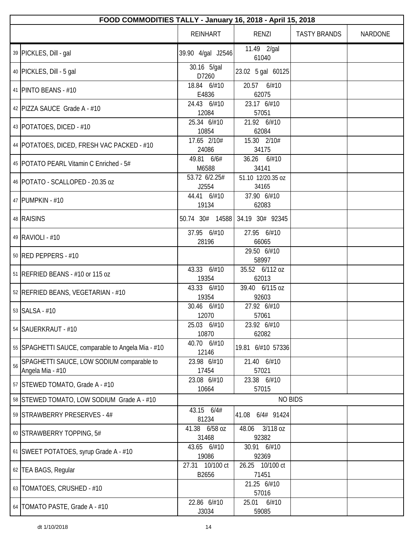|    | FOOD COMMODITIES TALLY - January 16, 2018 - April 15, 2018    |                          |                            |                     |         |  |  |
|----|---------------------------------------------------------------|--------------------------|----------------------------|---------------------|---------|--|--|
|    |                                                               | <b>REINHART</b>          | RENZI                      | <b>TASTY BRANDS</b> | NARDONE |  |  |
|    | 39 PICKLES, Dill - gal                                        | 39.90 4/gal J2546        | 11.49 2/gal<br>61040       |                     |         |  |  |
|    | 40 PICKLES, Dill - 5 gal                                      | 30.16 5/gal<br>D7260     | 23.02 5 gal 60125          |                     |         |  |  |
|    | 41   PINTO BEANS - #10                                        | 18.84 6/#10<br>E4836     | 20.57 6/#10<br>62075       |                     |         |  |  |
|    | 42   PIZZA SAUCE Grade A - #10                                | 24.43 6/#10<br>12084     | 23.17 6/#10<br>57051       |                     |         |  |  |
|    | 43   POTATOES, DICED - #10                                    | 25.34 6/#10<br>10854     | 21.92 6/#10<br>62084       |                     |         |  |  |
|    | 44   POTATOES, DICED, FRESH VAC PACKED - #10                  | 17.65 2/10#<br>24086     | 15.30 2/10#<br>34175       |                     |         |  |  |
|    | 45   POTATO PEARL Vitamin C Enriched - 5#                     | 49.81 6/6#<br>M6588      | 36.26 6/#10<br>34141       |                     |         |  |  |
|    | 46   POTATO - SCALLOPED - 20.35 oz                            | 53.72 6/2.25#<br>J2554   | 51.10 12/20.35 oz<br>34165 |                     |         |  |  |
|    | 47 PUMPKIN - #10                                              | 44.41 6/#10<br>19134     | 37.90 6/#10<br>62083       |                     |         |  |  |
|    | 48 RAISINS                                                    | 50.74 30# 14588          | 34.19 30# 92345            |                     |         |  |  |
|    | 49 RAVIOLI - #10                                              | 37.95 6/#10<br>28196     | 27.95 6/#10<br>66065       |                     |         |  |  |
|    | 50 RED PEPPERS - #10                                          |                          | 29.50 6/#10<br>58997       |                     |         |  |  |
|    | 51   REFRIED BEANS - #10 or 115 oz                            | 43.33 6/#10<br>19354     | 35.52 6/112 oz<br>62013    |                     |         |  |  |
|    | 52 REFRIED BEANS, VEGETARIAN - #10                            | 43.33 6/#10<br>19354     | 39.40 6/115 oz<br>92603    |                     |         |  |  |
|    | 53 SALSA - #10                                                | 30.46 6/#10<br>12070     | 27.92 6/#10<br>57061       |                     |         |  |  |
|    | 54 SAUERKRAUT - #10                                           | 25.03 6/#10<br>10870     | 23.92 6/#10<br>62082       |                     |         |  |  |
|    | 55 SPAGHETTI SAUCE, comparable to Angela Mia - #10            | 40.70 6/#10<br>12146     | 19.81 6/#10 57336          |                     |         |  |  |
| 56 | SPAGHETTI SAUCE, LOW SODIUM comparable to<br>Angela Mia - #10 | 23.98 6/#10<br>17454     | 21.40 6/#10<br>57021       |                     |         |  |  |
|    | 57 STEWED TOMATO, Grade A - #10                               | 23.08 6/#10<br>10664     | 23.38 6/#10<br>57015       |                     |         |  |  |
|    | 58 STEWED TOMATO, LOW SODIUM Grade A - #10                    |                          | <b>NO BIDS</b>             |                     |         |  |  |
|    | 59 STRAWBERRY PRESERVES - 4#                                  | 43.15 6/4#<br>81234      | 6/4# 91424<br>41.08        |                     |         |  |  |
|    | 60 STRAWBERRY TOPPING, 5#                                     | 41.38 6/58 oz<br>31468   | 3/118 oz<br>48.06<br>92382 |                     |         |  |  |
|    | 61 SWEET POTATOES, syrup Grade A - #10                        | 43.65 6/#10<br>19086     | 30.91 6/#10<br>92369       |                     |         |  |  |
|    | 62   TEA BAGS, Regular                                        | 27.31 10/100 ct<br>B2656 | 26.25 10/100 ct<br>71451   |                     |         |  |  |
|    | 63   TOMATOES, CRUSHED - #10                                  |                          | 21.25 6/#10<br>57016       |                     |         |  |  |
|    | 64   TOMATO PASTE, Grade A - #10                              | 22.86 6/#10<br>J3034     | 25.01<br>6/#10<br>59085    |                     |         |  |  |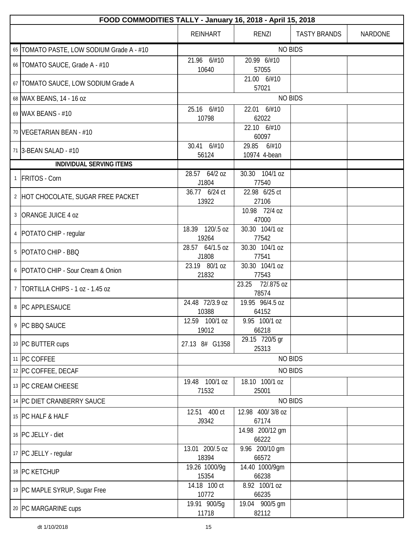| FOOD COMMODITIES TALLY - January 16, 2018 - April 15, 2018 |                          |                                |                     |                |  |
|------------------------------------------------------------|--------------------------|--------------------------------|---------------------|----------------|--|
|                                                            | <b>REINHART</b>          | RENZI                          | <b>TASTY BRANDS</b> | <b>NARDONE</b> |  |
| 65   TOMATO PASTE, LOW SODIUM Grade A - #10                |                          |                                | <b>NO BIDS</b>      |                |  |
| 66   TOMATO SAUCE, Grade A - #10                           | 21.96 6/#10<br>10640     | 20.99 6/#10<br>57055           |                     |                |  |
| 67   TOMATO SAUCE, LOW SODIUM Grade A                      |                          | 21.00 6/#10<br>57021           |                     |                |  |
| 68 WAX BEANS, 14 - 16 oz                                   |                          |                                | <b>NO BIDS</b>      |                |  |
| 69 WAX BEANS - #10                                         | 25.16 6/#10<br>10798     | 22.01 6/#10<br>62022           |                     |                |  |
| 70   VEGETARIAN BEAN - #10                                 |                          | 22.10 6/#10<br>60097           |                     |                |  |
| 71 3-BEAN SALAD - #10                                      | 30.41 6/#10<br>56124     | 29.85<br>6/#10<br>10974 4-bean |                     |                |  |
| <b>INDIVIDUAL SERVING ITEMS</b>                            |                          |                                |                     |                |  |
| 1 FRITOS - Corn                                            | 28.57 64/2 oz<br>J1804   | 30.30 104/1 oz<br>77540        |                     |                |  |
| 2 HOT CHOCOLATE, SUGAR FREE PACKET                         | 36.77 6/24 ct<br>13922   | 22.98 6/25 ct<br>27106         |                     |                |  |
| 3 ORANGE JUICE 4 oz                                        |                          | 10.98 72/4 oz<br>47000         |                     |                |  |
| 4   POTATO CHIP - regular                                  | 18.39 120/.5 oz<br>19264 | 30.30 104/1 oz<br>77542        |                     |                |  |
| 5   POTATO CHIP - BBQ                                      | 28.57 64/1.5 oz<br>J1808 | 30.30 104/1 oz<br>77541        |                     |                |  |
| 6   POTATO CHIP - Sour Cream & Onion                       | 23.19 80/1 oz<br>21832   | 30.30 104/1 oz<br>77543        |                     |                |  |
| 7   TORTILLA CHIPS - 1 oz - 1.45 oz                        |                          | 23.25<br>72/.875 oz<br>78574   |                     |                |  |
| 8   PC APPLESAUCE                                          | 24.48 72/3.9 oz<br>10388 | 19.95 96/4.5 oz<br>64152       |                     |                |  |
| 9 PC BBQ SAUCE                                             | 12.59 100/1 oz<br>19012  | 9.95 100/1 oz<br>66218         |                     |                |  |
| 10 PC BUTTER cups                                          | 27.13 8# G1358           | 29.15 720/5 gr<br>25313        |                     |                |  |
| 11 PC COFFEE                                               |                          |                                | <b>NO BIDS</b>      |                |  |
| 12 PC COFFEE, DECAF                                        |                          |                                | <b>NO BIDS</b>      |                |  |
| 13 PC CREAM CHEESE                                         | 19.48 100/1 oz<br>71532  | 18.10 100/1 oz<br>25001        |                     |                |  |
| 14 PC DIET CRANBERRY SAUCE                                 |                          |                                | <b>NO BIDS</b>      |                |  |
| 15 PC HALF & HALF                                          | 12.51 400 ct<br>J9342    | 12.98 400/3/8 oz<br>67174      |                     |                |  |
| 16 PC JELLY - diet                                         |                          | 14.98 200/12 gm<br>66222       |                     |                |  |
| 17   PC JELLY - regular                                    | 13.01 200/.5 oz<br>18394 | 9.96 200/10 gm<br>66572        |                     |                |  |
| 18 PC KETCHUP                                              | 19.26 1000/9q<br>15354   | 14.40 1000/9gm<br>66238        |                     |                |  |
| 19 PC MAPLE SYRUP, Sugar Free                              | 14.18 100 ct<br>10772    | 8.92 100/1 oz<br>66235         |                     |                |  |
| 20 PC MARGARINE cups                                       | 19.91 900/5g<br>11718    | 19.04 900/5 gm<br>82112        |                     |                |  |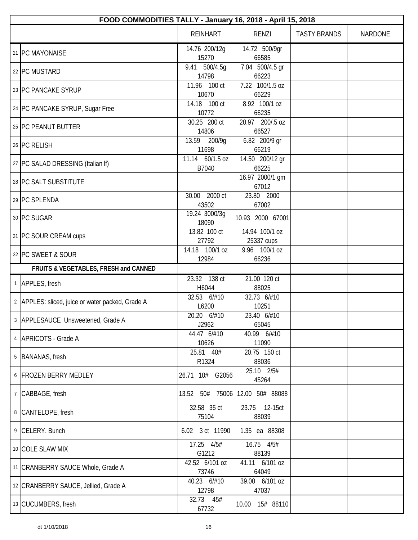|               | FOOD COMMODITIES TALLY - January 16, 2018 - April 15, 2018 |                                 |                              |                     |                |  |  |
|---------------|------------------------------------------------------------|---------------------------------|------------------------------|---------------------|----------------|--|--|
|               |                                                            | <b>REINHART</b>                 | <b>RENZI</b>                 | <b>TASTY BRANDS</b> | <b>NARDONE</b> |  |  |
|               | 21 PC MAYONAISE                                            | 14.76 200/12g<br>15270          | 14.72 500/9gr<br>66585       |                     |                |  |  |
|               | 22 PC MUSTARD                                              | 9.41<br>500/4.5g<br>14798       | 7.04 500/4.5 gr<br>66223     |                     |                |  |  |
|               | 23 PC PANCAKE SYRUP                                        | 11.96 100 ct<br>10670           | 7.22 100/1.5 oz<br>66229     |                     |                |  |  |
|               | 24 PC PANCAKE SYRUP, Sugar Free                            | 14.18 100 ct<br>10772           | 8.92 100/1 oz<br>66235       |                     |                |  |  |
|               | 25 PC PEANUT BUTTER                                        | 30.25 200 ct<br>14806           | 20.97 200/.5 oz<br>66527     |                     |                |  |  |
|               | 26 PC RELISH                                               | 13.59<br>200/9g<br>11698        | 6.82 200/9 gr<br>66219       |                     |                |  |  |
|               | 27   PC SALAD DRESSING (Italian If)                        | 11.14 60/1.5 oz<br>B7040        | 14.50 200/12 gr<br>66225     |                     |                |  |  |
|               | 28 PC SALT SUBSTITUTE                                      |                                 | 16.97 2000/1 gm<br>67012     |                     |                |  |  |
|               | 29 PC SPLENDA                                              | 30.00 2000 ct<br>43502          | 23.80 2000<br>67002          |                     |                |  |  |
|               | 30 PC SUGAR                                                | 19.24 3000/3g<br>18090          | 10.93 2000 67001             |                     |                |  |  |
|               | 31 PC SOUR CREAM cups                                      | 13.82 100 ct<br>27792           | 14.94 100/1 oz<br>25337 cups |                     |                |  |  |
|               | 32 PC SWEET & SOUR                                         | 14.18 100/1 oz<br>12984         | 9.96 100/1 oz<br>66236       |                     |                |  |  |
|               | FRUITS & VEGETABLES, FRESH and CANNED                      |                                 |                              |                     |                |  |  |
|               | 1 APPLES, fresh                                            | 23.32 138 ct<br>H6044           | 21.00 120 ct<br>88025        |                     |                |  |  |
|               | 2 APPLES: sliced, juice or water packed, Grade A           | 32.53 6/#10<br>L6200            | 32.73 6/#10<br>10251         |                     |                |  |  |
|               | 3 APPLESAUCE Unsweetened, Grade A                          | 20.20 6/#10<br>J2962            | 23.40 6/#10<br>65045         |                     |                |  |  |
|               | 4   APRICOTS - Grade A                                     | 44.47 6/#10<br>10626            | 40.99 6/#10<br>11090         |                     |                |  |  |
|               | 5 BANANAS, fresh                                           | 25.81 40#<br>R1324              | 20.75 150 ct<br>88036        |                     |                |  |  |
|               | 6 FROZEN BERRY MEDLEY                                      | 26.71 10# G2056                 | 25.10 2/5#<br>45264          |                     |                |  |  |
| $\mathcal{I}$ | CABBAGE, fresh                                             | 13.52 50# 75006 12.00 50# 88088 |                              |                     |                |  |  |
|               | 8 CANTELOPE, fresh                                         | 32.58 35 ct<br>75104            | 23.75 12-15ct<br>88039       |                     |                |  |  |
|               | 9 CELERY. Bunch                                            | 6.02 3 ct 11990                 | 1.35 ea 88308                |                     |                |  |  |
|               | 10 COLE SLAW MIX                                           | 17.25 4/5#<br>G1212             | 16.75 4/5#<br>88139          |                     |                |  |  |
|               | 11   CRANBERRY SAUCE Whole, Grade A                        | 42.52 6/101 oz<br>73746         | 41.11 6/101 oz<br>64049      |                     |                |  |  |
|               | 12 CRANBERRY SAUCE, Jellied, Grade A                       | 40.23 6/#10<br>12798            | 39.00 6/101 oz<br>47037      |                     |                |  |  |
|               | 13 CUCUMBERS, fresh                                        | 32.73 45#<br>67732              | 10.00  15#  88110            |                     |                |  |  |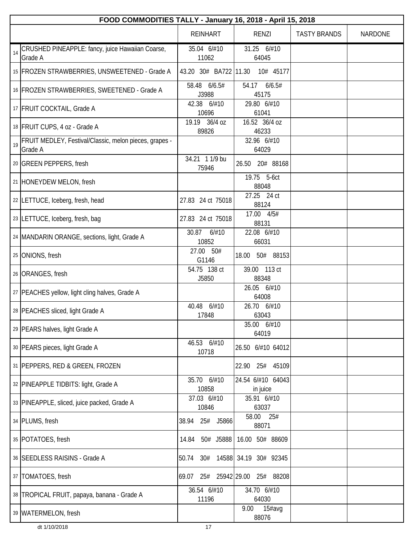|    | FOOD COMMODITIES TALLY - January 16, 2018 - April 15, 2018        |                          |                               |                     |                |  |  |
|----|-------------------------------------------------------------------|--------------------------|-------------------------------|---------------------|----------------|--|--|
|    |                                                                   | <b>REINHART</b>          | <b>RENZI</b>                  | <b>TASTY BRANDS</b> | <b>NARDONE</b> |  |  |
| 14 | CRUSHED PINEAPPLE: fancy, juice Hawaiian Coarse,<br>Grade A       | 35.04 6/#10<br>11062     | 31.25 6/#10<br>64045          |                     |                |  |  |
|    | 15   FROZEN STRAWBERRIES, UNSWEETENED - Grade A                   | 43.20 30# BA722 11.30    | 10# 45177                     |                     |                |  |  |
|    | 16 FROZEN STRAWBERRIES, SWEETENED - Grade A                       | 58.48 6/6.5#<br>J3988    | 6/6.5#<br>54.17<br>45175      |                     |                |  |  |
|    | 17 FRUIT COCKTAIL, Grade A                                        | 42.38 6/#10<br>10696     | 29.80 6/#10<br>61041          |                     |                |  |  |
|    | 18 FRUIT CUPS, 4 oz - Grade A                                     | 19.19 36/4 oz<br>89826   | 16.52 36/4 oz<br>46233        |                     |                |  |  |
| 19 | FRUIT MEDLEY, Festival/Classic, melon pieces, grapes -<br>Grade A |                          | 32.96 6/#10<br>64029          |                     |                |  |  |
|    | 20 GREEN PEPPERS, fresh                                           | 34.21 1 1/9 bu<br>75946  | 20# 88168<br>26.50            |                     |                |  |  |
|    | 21 HONEYDEW MELON, fresh                                          |                          | 19.75 5-6ct<br>88048          |                     |                |  |  |
|    | 22 LETTUCE, Iceberg, fresh, head                                  | 27.83 24 ct 75018        | 27.25 24 ct<br>88124          |                     |                |  |  |
|    | 23 LETTUCE, Iceberg, fresh, bag                                   | 27.83 24 ct 75018        | 17.00 4/5#<br>88131           |                     |                |  |  |
|    | 24   MANDARIN ORANGE, sections, light, Grade A                    | 6/#10<br>30.87<br>10852  | 22.08 6/#10<br>66031          |                     |                |  |  |
|    | 25 ONIONS, fresh                                                  | 27.00 50#<br>G1146       | 50# 88153<br>18.00            |                     |                |  |  |
|    | 26 ORANGES, fresh                                                 | 54.75 138 ct<br>J5850    | 39.00 113 ct<br>88348         |                     |                |  |  |
|    | 27   PEACHES yellow, light cling halves, Grade A                  |                          | 26.05 6/#10<br>64008          |                     |                |  |  |
|    | 28 PEACHES sliced, light Grade A                                  | 40.48<br>6/#10<br>17848  | 26.70 6/#10<br>63043          |                     |                |  |  |
|    | 29 PEARS halves, light Grade A                                    |                          | 35.00 6/#10<br>64019          |                     |                |  |  |
|    | 30 PEARS pieces, light Grade A                                    | 46.53 6/#10<br>10718     | 26.50 6/#10 64012             |                     |                |  |  |
|    | 31   PEPPERS, RED & GREEN, FROZEN                                 |                          | 25# 45109<br>22.90            |                     |                |  |  |
|    | 32 PINEAPPLE TIDBITS: light, Grade A                              | 35.70 6/#10<br>10858     | 24.54 6/#10 64043<br>in juice |                     |                |  |  |
|    | 33 PINEAPPLE, sliced, juice packed, Grade A                       | 37.03 6/#10<br>10846     | 35.91 6/#10<br>63037          |                     |                |  |  |
|    | 34 PLUMS, fresh                                                   | 38.94<br>25# J5866       | 58.00 25#<br>88071            |                     |                |  |  |
|    | 35 POTATOES, fresh                                                | 50# J5888<br>14.84       | 16.00 50# 88609               |                     |                |  |  |
|    | 36 SEEDLESS RAISINS - Grade A                                     | 50.74<br>30#             | 14588 34.19 30# 92345         |                     |                |  |  |
|    | 37   TOMATOES, fresh                                              | 25# 25942 29.00<br>69.07 | 25# 88208                     |                     |                |  |  |
|    | 38   TROPICAL FRUIT, papaya, banana - Grade A                     | 36.54 6/#10<br>11196     | 34.70 6/#10<br>64030          |                     |                |  |  |
|    | 39   WATERMELON, fresh                                            |                          | 9.00<br>15#avg<br>88076       |                     |                |  |  |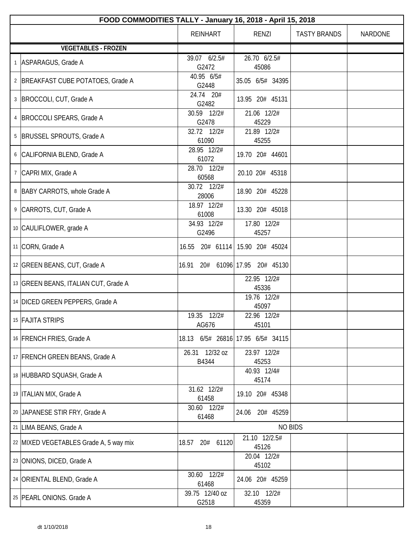| FOOD COMMODITIES TALLY - January 16, 2018 - April 15, 2018 |                          |                             |                     |                |  |
|------------------------------------------------------------|--------------------------|-----------------------------|---------------------|----------------|--|
|                                                            | <b>REINHART</b>          | RENZI                       | <b>TASTY BRANDS</b> | <b>NARDONE</b> |  |
| <b>VEGETABLES - FROZEN</b>                                 |                          |                             |                     |                |  |
| 1 ASPARAGUS, Grade A                                       | 39.07 6/2.5#<br>G2472    | 26.70 6/2.5#<br>45086       |                     |                |  |
| 2   BREAKFAST CUBE POTATOES, Grade A                       | 40.95 6/5#<br>G2448      | 35.05 6/5# 34395            |                     |                |  |
| 3 BROCCOLI, CUT, Grade A                                   | 24.74 20#<br>G2482       | 13.95 20# 45131             |                     |                |  |
| 4   BROCCOLI SPEARS, Grade A                               | 30.59 12/2#<br>G2478     | 21.06 12/2#<br>45229        |                     |                |  |
| 5  BRUSSEL SPROUTS, Grade A                                | 32.72 12/2#<br>61090     | 21.89 12/2#<br>45255        |                     |                |  |
| 6 CALIFORNIA BLEND, Grade A                                | 28.95 12/2#<br>61072     | 19.70 20# 44601             |                     |                |  |
| 7 CAPRI MIX, Grade A                                       | 28.70 12/2#<br>60568     | 20.10 20# 45318             |                     |                |  |
| 8   BABY CARROTS, whole Grade A                            | 30.72 12/2#<br>28006     | 18.90 20# 45228             |                     |                |  |
| 9 CARROTS, CUT, Grade A                                    | 18.97 12/2#<br>61008     | 13.30 20# 45018             |                     |                |  |
| 10 CAULIFLOWER, grade A                                    | 34.93 12/2#<br>G2496     | 17.80 12/2#<br>45257        |                     |                |  |
| 11 CORN, Grade A                                           | 16.55<br>20# 61114       | 15.90 20# 45024             |                     |                |  |
| 12 GREEN BEANS, CUT, Grade A                               | 20# 61096 17.95<br>16.91 | 20# 45130                   |                     |                |  |
| 13 GREEN BEANS, ITALIAN CUT, Grade A                       |                          | 22.95 12/2#<br>45336        |                     |                |  |
| 14 DICED GREEN PEPPERS, Grade A                            |                          | 19.76 12/2#<br>45097        |                     |                |  |
| 15 FAJITA STRIPS                                           | 19.35 12/2#<br>AG676     | 22.96 12/2#<br>45101        |                     |                |  |
| 16 FRENCH FRIES, Grade A                                   | 18.13                    | 6/5# 26816 17.95 6/5# 34115 |                     |                |  |
| 17 FRENCH GREEN BEANS, Grade A                             | 26.31 12/32 oz<br>B4344  | 23.97 12/2#<br>45253        |                     |                |  |
| 18 HUBBARD SQUASH, Grade A                                 |                          | 40.93 12/4#<br>45174        |                     |                |  |
| 19   ITALIAN MIX, Grade A                                  | 31.62 12/2#<br>61458     | 19.10 20# 45348             |                     |                |  |
| 20 JAPANESE STIR FRY, Grade A                              | 30.60 12/2#<br>61468     | 20# 45259<br>24.06          |                     |                |  |
| 21 LIMA BEANS, Grade A                                     |                          | <b>NO BIDS</b>              |                     |                |  |
| 22 MIXED VEGETABLES Grade A, 5 way mix                     | 18.57<br>20#<br>61120    | 21.10 12/2.5#<br>45126      |                     |                |  |
| 23 ONIONS, DICED, Grade A                                  |                          | 20.04 12/2#<br>45102        |                     |                |  |
| 24 ORIENTAL BLEND, Grade A                                 | 30.60 12/2#<br>61468     | 24.06 20# 45259             |                     |                |  |
| 25 PEARL ONIONS. Grade A                                   | 39.75 12/40 oz<br>G2518  | 32.10 12/2#<br>45359        |                     |                |  |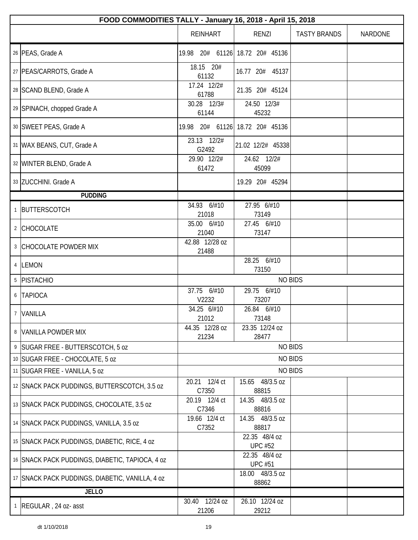|                 | FOOD COMMODITIES TALLY - January 16, 2018 - April 15, 2018 |                                 |                                 |                     |         |  |  |
|-----------------|------------------------------------------------------------|---------------------------------|---------------------------------|---------------------|---------|--|--|
|                 |                                                            | <b>REINHART</b>                 | RENZI                           | <b>TASTY BRANDS</b> | NARDONE |  |  |
|                 | 26 PEAS, Grade A                                           | 19.98 20# 61126 18.72 20# 45136 |                                 |                     |         |  |  |
|                 | 27   PEAS/CARROTS, Grade A                                 | 18.15 20#<br>61132              | 16.77 20# 45137                 |                     |         |  |  |
|                 | 28 SCAND BLEND, Grade A                                    | 17.24 12/2#<br>61788            | 21.35 20# 45124                 |                     |         |  |  |
|                 | 29 SPINACH, chopped Grade A                                | 30.28 12/3#<br>61144            | 24.50 12/3#<br>45232            |                     |         |  |  |
|                 | 30 SWEET PEAS, Grade A                                     | 19.98                           | 20# 61126 18.72 20# 45136       |                     |         |  |  |
|                 | 31   WAX BEANS, CUT, Grade A                               | 23.13 12/2#<br>G2492            | 21.02 12/2# 45338               |                     |         |  |  |
|                 | 32 WINTER BLEND, Grade A                                   | 29.90 12/2#<br>61472            | 24.62 12/2#<br>45099            |                     |         |  |  |
|                 | 33 ZUCCHINI. Grade A                                       |                                 | 19.29 20# 45294                 |                     |         |  |  |
|                 | <b>PUDDING</b>                                             |                                 |                                 |                     |         |  |  |
|                 | 1 BUTTERSCOTCH                                             | 34.93 6/#10<br>21018            | 27.95 6/#10<br>73149            |                     |         |  |  |
|                 | 2 CHOCOLATE                                                | 35.00 6/#10<br>21040            | 27.45 6/#10<br>73147            |                     |         |  |  |
|                 | 3 CHOCOLATE POWDER MIX                                     | 42.88 12/28 oz<br>21488         |                                 |                     |         |  |  |
|                 | 4 LEMON                                                    |                                 | 28.25 6/#10<br>73150            |                     |         |  |  |
| 5               | PISTACHIO                                                  | <b>NO BIDS</b>                  |                                 |                     |         |  |  |
| 6               | <b>TAPIOCA</b>                                             | 37.75 6/#10<br>V2232            | 29.75 6/#10<br>73207            |                     |         |  |  |
| $7\overline{ }$ | VANILLA                                                    | 34.25 6/#10<br>21012            | 26.84 6/#10<br>73148            |                     |         |  |  |
|                 | 8 VANILLA POWDER MIX                                       | 44.35 12/28 oz<br>21234         | 23.35 12/24 oz<br>28477         |                     |         |  |  |
|                 | 9   SUGAR FREE - BUTTERSCOTCH, 5 oz                        |                                 | <b>NO BIDS</b>                  |                     |         |  |  |
|                 | 10 SUGAR FREE - CHOCOLATE, 5 oz                            |                                 | <b>NO BIDS</b>                  |                     |         |  |  |
|                 | 11 SUGAR FREE - VANILLA, 5 oz                              |                                 | <b>NO BIDS</b>                  |                     |         |  |  |
|                 | 12 SNACK PACK PUDDINGS, BUTTERSCOTCH, 3.5 oz               | 20.21 12/4 ct<br>C7350          | 15.65 48/3.5 oz<br>88815        |                     |         |  |  |
|                 | 13 SNACK PACK PUDDINGS, CHOCOLATE, 3.5 oz                  | 20.19 12/4 ct<br>C7346          | 14.35 48/3.5 oz<br>88816        |                     |         |  |  |
|                 | 14 SNACK PACK PUDDINGS, VANILLA, 3.5 oz                    | 19.66 12/4 ct<br>C7352          | 14.35 48/3.5 oz<br>88817        |                     |         |  |  |
|                 | 15 SNACK PACK PUDDINGS, DIABETIC, RICE, 4 oz               |                                 | 22.35 48/4 oz<br><b>UPC #52</b> |                     |         |  |  |
|                 | 16 SNACK PACK PUDDINGS, DIABETIC, TAPIOCA, 4 oz            |                                 | 22.35 48/4 oz<br><b>UPC #51</b> |                     |         |  |  |
|                 | 17 SNACK PACK PUDDINGS, DIABETIC, VANILLA, 4 oz            |                                 | 18.00 48/3.5 oz<br>88862        |                     |         |  |  |
|                 | <b>JELLO</b>                                               |                                 |                                 |                     |         |  |  |
|                 | 1   REGULAR, 24 oz- asst                                   | 12/24 oz<br>30.40<br>21206      | 26.10 12/24 oz<br>29212         |                     |         |  |  |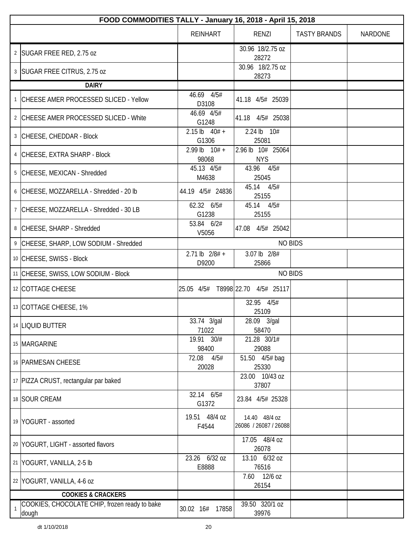|   | FOOD COMMODITIES TALLY - January 16, 2018 - April 15, 2018 |                             |                                        |                     |                |  |  |
|---|------------------------------------------------------------|-----------------------------|----------------------------------------|---------------------|----------------|--|--|
|   |                                                            | <b>REINHART</b>             | RENZI                                  | <b>TASTY BRANDS</b> | <b>NARDONE</b> |  |  |
|   | 2 SUGAR FREE RED, 2.75 oz                                  |                             | 30.96 18/2.75 oz<br>28272              |                     |                |  |  |
|   | 3   SUGAR FREE CITRUS, 2.75 oz                             |                             | 30.96 18/2.75 oz<br>28273              |                     |                |  |  |
|   | <b>DAIRY</b>                                               |                             |                                        |                     |                |  |  |
|   | 1 CHEESE AMER PROCESSED SLICED - Yellow                    | 46.69 4/5#<br>D3108         | 41.18 4/5# 25039                       |                     |                |  |  |
|   | 2 CHEESE AMER PROCESSED SLICED - White                     | 46.69 4/5#<br>G1248         | 41.18 4/5# 25038                       |                     |                |  |  |
|   | 3 CHEESE, CHEDDAR - Block                                  | $2.15$ lb $40# +$<br>G1306  | 2.24 lb 10#<br>25081                   |                     |                |  |  |
|   | 4 CHEESE, EXTRA SHARP - Block                              | $2.99$ lb $10# +$<br>98068  | 2.96 lb 10# 25064<br><b>NYS</b>        |                     |                |  |  |
|   | 5 CHEESE, MEXICAN - Shredded                               | 45.13 4/5#<br>M4638         | 43.96 4/5#<br>25045                    |                     |                |  |  |
|   | 6 CHEESE, MOZZARELLA - Shredded - 20 lb                    | 44.19 4/5# 24836            | 45.14 4/5#<br>25155                    |                     |                |  |  |
|   | 7 CHEESE, MOZZARELLA - Shredded - 30 LB                    | 62.32 6/5#<br>G1238         | 45.14 4/5#<br>25155                    |                     |                |  |  |
|   | 8 CHEESE, SHARP - Shredded                                 | 53.84 6/2#<br>V5056         | 47.08 4/5# 25042                       |                     |                |  |  |
|   | 9 CHEESE, SHARP, LOW SODIUM - Shredded                     |                             | <b>NO BIDS</b>                         |                     |                |  |  |
|   | 10 CHEESE, SWISS - Block                                   | $2.71$ lb $2/8#$ +<br>D9200 | 3.07 lb 2/8#<br>25866                  |                     |                |  |  |
|   | 11 CHEESE, SWISS, LOW SODIUM - Block                       |                             | <b>NO BIDS</b>                         |                     |                |  |  |
|   | 12 COTTAGE CHEESE                                          |                             | 25.05 4/5# T8998 22.70 4/5# 25117      |                     |                |  |  |
|   | 13 COTTAGE CHEESE, 1%                                      |                             | 32.95 4/5#<br>25109                    |                     |                |  |  |
|   | 14 LIQUID BUTTER                                           | 33.74 3/gal<br>71022        | 28.09 3/gal<br>58470                   |                     |                |  |  |
|   | 15 MARGARINE                                               | 19.91 30/#<br>98400         | 21.28 30/1#<br>29088                   |                     |                |  |  |
|   | 16 PARMESAN CHEESE                                         | 72.08<br>4/5#<br>20028      | 51.50 4/5# bag<br>25330                |                     |                |  |  |
|   | 17 PIZZA CRUST, rectangular par baked                      |                             | 23.00 10/43 oz<br>37807                |                     |                |  |  |
|   | 18 SOUR CREAM                                              | 32.14 6/5#<br>G1372         | 23.84 4/5# 25328                       |                     |                |  |  |
|   | 19 YOGURT - assorted                                       | 19.51 48/4 oz<br>F4544      | 14.40 48/4 oz<br>26086 / 26087 / 26088 |                     |                |  |  |
|   | 20 YOGURT, LIGHT - assorted flavors                        |                             | 17.05 48/4 oz<br>26078                 |                     |                |  |  |
|   | 21 YOGURT, VANILLA, 2-5 lb                                 | 23.26 6/32 oz<br>E8888      | 13.10 6/32 oz<br>76516                 |                     |                |  |  |
|   | 22 YOGURT, VANILLA, 4-6 oz                                 |                             | 7.60 12/6 oz<br>26154                  |                     |                |  |  |
|   | <b>COOKIES &amp; CRACKERS</b>                              |                             |                                        |                     |                |  |  |
| 1 | COOKIES, CHOCOLATE CHIP, frozen ready to bake<br>dough     | 30.02 16#<br>17858          | 39.50 320/1 oz<br>39976                |                     |                |  |  |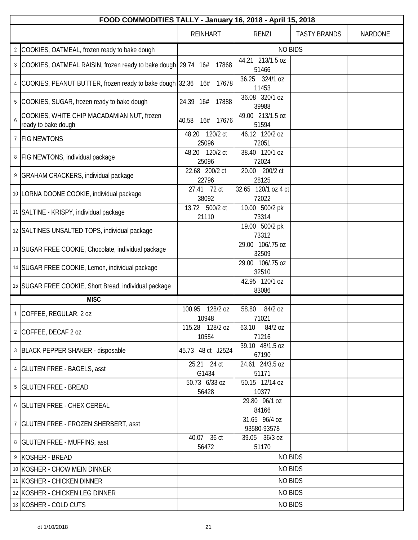|                | FOOD COMMODITIES TALLY - January 16, 2018 - April 15, 2018          |                             |                              |                     |                |  |
|----------------|---------------------------------------------------------------------|-----------------------------|------------------------------|---------------------|----------------|--|
|                |                                                                     | <b>REINHART</b>             | <b>RENZI</b>                 | <b>TASTY BRANDS</b> | <b>NARDONE</b> |  |
| $\mathbf{2}$   | COOKIES, OATMEAL, frozen ready to bake dough                        |                             | <b>NO BIDS</b>               |                     |                |  |
| 3              | COOKIES, OATMEAL RAISIN, frozen ready to bake dough 29.74 16# 17868 |                             | 44.21 213/1.5 oz<br>51466    |                     |                |  |
| $\overline{4}$ | COOKIES, PEANUT BUTTER, frozen ready to bake dough 32.36 16# 17678  |                             | 36.25 324/1 oz<br>11453      |                     |                |  |
| 5              | COOKIES, SUGAR, frozen ready to bake dough                          | 17888<br>24.39 16#          | 36.08 320/1 oz<br>39988      |                     |                |  |
| 6              | COOKIES, WHITE CHIP MACADAMIAN NUT, frozen<br>ready to bake dough   | 40.58<br>17676<br>16#       | 49.00 213/1.5 oz<br>51594    |                     |                |  |
|                | <b>FIG NEWTONS</b>                                                  | 48.20 120/2 ct<br>25096     | 46.12 120/2 oz<br>72051      |                     |                |  |
|                | 8   FIG NEWTONS, individual package                                 | 48.20 120/2 ct<br>25096     | 38.40 120/1 oz<br>72024      |                     |                |  |
| 9              | <b>GRAHAM CRACKERS, individual package</b>                          | 22.68 200/2 ct<br>22796     | 20.00 200/2 ct<br>28125      |                     |                |  |
|                | 10 LORNA DOONE COOKIE, individual package                           | 27.41<br>72 ct<br>38092     | 32.65 120/1 oz 4 ct<br>72022 |                     |                |  |
|                | 11 SALTINE - KRISPY, individual package                             | 13.72 500/2 ct<br>21110     | 10.00 500/2 pk<br>73314      |                     |                |  |
|                | 12 SALTINES UNSALTED TOPS, individual package                       |                             | 19.00 500/2 pk<br>73312      |                     |                |  |
|                | 13 SUGAR FREE COOKIE, Chocolate, individual package                 |                             | 29.00 106/.75 oz<br>32509    |                     |                |  |
|                | 14 SUGAR FREE COOKIE, Lemon, individual package                     |                             | 29.00 106/.75 oz<br>32510    |                     |                |  |
|                | 15 SUGAR FREE COOKIE, Short Bread, individual package               |                             | 42.95 120/1 oz<br>83086      |                     |                |  |
|                | <b>MISC</b>                                                         |                             |                              |                     |                |  |
| $\mathbf{1}$   | COFFEE, REGULAR, 2 oz                                               | 128/2 oz<br>100.95<br>10948 | 84/2 oz<br>58.80<br>71021    |                     |                |  |
|                | 2 COFFEE, DECAF 2 oz                                                | 115.28 128/2 oz<br>10554    | 63.10 84/2 oz<br>71216       |                     |                |  |
|                | 3 BLACK PEPPER SHAKER - disposable                                  | 45.73 48 ct J2524           | 39.10 48/1.5 oz<br>67190     |                     |                |  |
|                | 4   GLUTEN FREE - BAGELS, asst                                      | 25.21 24 ct<br>G1434        | 24.61 24/3.5 oz<br>51171     |                     |                |  |
|                | 5   GLUTEN FREE - BREAD                                             | 50.73 6/33 oz<br>56428      | 50.15 12/14 oz<br>10377      |                     |                |  |
|                | 6   GLUTEN FREE - CHEX CEREAL                                       |                             | 29.80 96/1 oz<br>84166       |                     |                |  |
|                | 7   GLUTEN FREE - FROZEN SHERBERT, asst                             |                             | 31.65 96/4 oz<br>93580-93578 |                     |                |  |
|                | 8   GLUTEN FREE - MUFFINS, asst                                     | 40.07 36 ct<br>56472        | 39.05 36/3 oz<br>51170       |                     |                |  |
|                | 9 KOSHER - BREAD                                                    |                             | <b>NO BIDS</b>               |                     |                |  |
|                | 10 KOSHER - CHOW MEIN DINNER                                        |                             | <b>NO BIDS</b>               |                     |                |  |
|                | 11 KOSHER - CHICKEN DINNER                                          |                             | <b>NO BIDS</b>               |                     |                |  |
|                | 12 KOSHER - CHICKEN LEG DINNER                                      |                             | <b>NO BIDS</b>               |                     |                |  |
|                | 13 KOSHER - COLD CUTS                                               |                             | <b>NO BIDS</b>               |                     |                |  |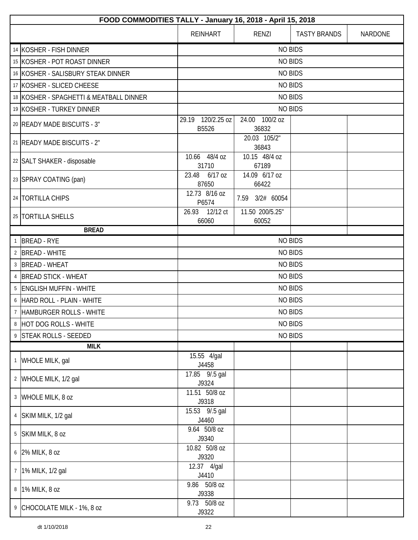|   | FOOD COMMODITIES TALLY - January 16, 2018 - April 15, 2018 |                            |                          |                     |         |  |
|---|------------------------------------------------------------|----------------------------|--------------------------|---------------------|---------|--|
|   |                                                            | <b>REINHART</b>            | RENZI                    | <b>TASTY BRANDS</b> | NARDONE |  |
|   | 14 KOSHER - FISH DINNER                                    |                            | <b>NO BIDS</b>           |                     |         |  |
|   | 15 KOSHER - POT ROAST DINNER                               |                            | <b>NO BIDS</b>           |                     |         |  |
|   | 16 KOSHER - SALISBURY STEAK DINNER                         |                            | <b>NO BIDS</b>           |                     |         |  |
|   | 17 KOSHER - SLICED CHEESE                                  |                            | <b>NO BIDS</b>           |                     |         |  |
|   | 18 KOSHER - SPAGHETTI & MEATBALL DINNER                    |                            | <b>NO BIDS</b>           |                     |         |  |
|   | 19 KOSHER - TURKEY DINNER                                  |                            | <b>NO BIDS</b>           |                     |         |  |
|   | 20 READY MADE BISCUITS - 3"                                | 29.19 120/2.25 oz<br>B5526 | 24.00 100/2 oz<br>36832  |                     |         |  |
|   | 21 READY MADE BISCUITS - 2"                                |                            | 20.03 105/2"<br>36843    |                     |         |  |
|   | 22 SALT SHAKER - disposable                                | 10.66 48/4 oz<br>31710     | 10.15 48/4 oz<br>67189   |                     |         |  |
|   | 23 SPRAY COATING (pan)                                     | 23.48 6/17 oz<br>87650     | 14.09 6/17 oz<br>66422   |                     |         |  |
|   | 24   TORTILLA CHIPS                                        | 12.73 8/16 oz<br>P6574     | 7.59 3/2# 60054          |                     |         |  |
|   | 25   TORTILLA SHELLS                                       | 26.93 12/12 ct<br>66060    | 11.50 200/5.25"<br>60052 |                     |         |  |
|   | <b>BREAD</b>                                               |                            |                          |                     |         |  |
|   | 1 BREAD - RYE                                              |                            | <b>NO BIDS</b>           |                     |         |  |
|   | 2 BREAD - WHITE                                            | <b>NO BIDS</b>             |                          |                     |         |  |
|   | 3 BREAD - WHEAT                                            | <b>NO BIDS</b>             |                          |                     |         |  |
|   | 4 BREAD STICK - WHEAT                                      | <b>NO BIDS</b>             |                          |                     |         |  |
|   | 5   ENGLISH MUFFIN - WHITE                                 | <b>NO BIDS</b>             |                          |                     |         |  |
|   | 6 HARD ROLL - PLAIN - WHITE                                | <b>NO BIDS</b>             |                          |                     |         |  |
| 7 | <b>HAMBURGER ROLLS - WHITE</b>                             | <b>NO BIDS</b>             |                          |                     |         |  |
|   | 8 HOT DOG ROLLS - WHITE                                    | <b>NO BIDS</b>             |                          |                     |         |  |
|   | 9 STEAK ROLLS - SEEDED                                     |                            |                          | <b>NO BIDS</b>      |         |  |
|   | <b>MILK</b>                                                |                            |                          |                     |         |  |
|   | 1 WHOLE MILK, gal                                          | 15.55 4/gal<br>J4458       |                          |                     |         |  |
|   | 2 WHOLE MILK, 1/2 gal                                      | 17.85 9/.5 gal<br>J9324    |                          |                     |         |  |
|   | 3 WHOLE MILK, 8 oz                                         | 11.51 50/8 oz<br>J9318     |                          |                     |         |  |
|   | 4   SKIM MILK, 1/2 gal                                     | 15.53 9/.5 gal<br>J4460    |                          |                     |         |  |
|   | 5 SKIM MILK, 8 oz                                          | 9.64 50/8 oz<br>J9340      |                          |                     |         |  |
|   | 6 2% MILK, 8 oz                                            | 10.82 50/8 oz<br>J9320     |                          |                     |         |  |
|   | 7   1% MILK, 1/2 gal                                       | 12.37 4/gal<br>J4410       |                          |                     |         |  |
|   | 8 1% MILK, 8 oz                                            | 9.86 50/8 oz<br>J9338      |                          |                     |         |  |
|   | 9 CHOCOLATE MILK - 1%, 8 oz                                | 9.73 50/8 oz<br>J9322      |                          |                     |         |  |